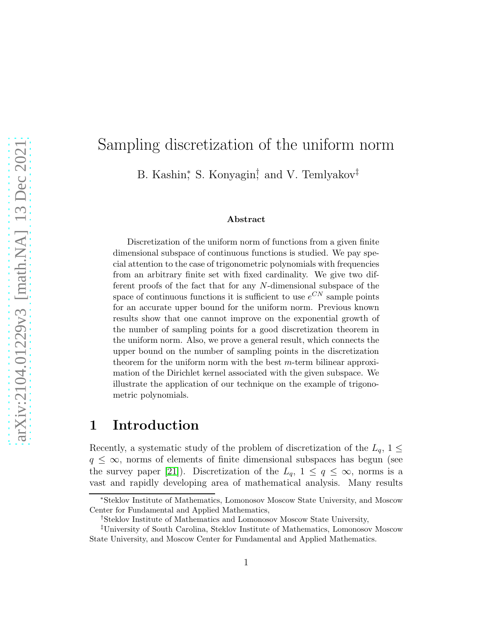# Sampling discretization of the uniform norm B. Kashin<sup>\*</sup>, S. Konyagin<sup>†</sup>, and V. Temlyakov<sup>‡</sup>

#### Abstract

Discretization of the uniform norm of functions from a given finite dimensional subspace of continuous functions is studied. We pay special attention to the case of trigonometric polynomials with frequencies from an arbitrary finite set with fixed cardinality. We give two different proofs of the fact that for any N-dimensional subspace of the space of continuous functions it is sufficient to use  $e^{CN}$  sample points for an accurate upper bound for the uniform norm. Previous known results show that one cannot improve on the exponential growth of the number of sampling points for a good discretization theorem in the uniform norm. Also, we prove a general result, which connects the upper bound on the number of sampling points in the discretization theorem for the uniform norm with the best  $m$ -term bilinear approximation of the Dirichlet kernel associated with the given subspace. We illustrate the application of our technique on the example of trigonometric polynomials.

### <span id="page-0-0"></span>1 Introduction

Recently, a systematic study of the problem of discretization of the  $L_q$ ,  $1 \leq$  $q \leq \infty$ , norms of elements of finite dimensional subspaces has begun (see the survey paper [\[21\]](#page-34-0)). Discretization of the  $L_q$ ,  $1 \le q \le \infty$ , norms is a vast and rapidly developing area of mathematical analysis. Many results

<sup>∗</sup>Steklov Institute of Mathematics, Lomonosov Moscow State University, and Moscow Center for Fundamental and Applied Mathematics,

<sup>†</sup>Steklov Institute of Mathematics and Lomonosov Moscow State University,

<sup>‡</sup>University of South Carolina, Steklov Institute of Mathematics, Lomonosov Moscow State University, and Moscow Center for Fundamental and Applied Mathematics.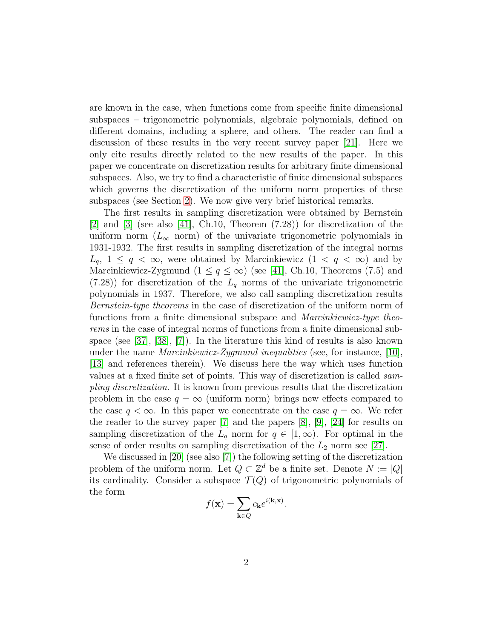are known in the case, when functions come from specific finite dimensional subspaces – trigonometric polynomials, algebraic polynomials, defined on different domains, including a sphere, and others. The reader can find a discussion of these results in the very recent survey paper [\[21\]](#page-34-0). Here we only cite results directly related to the new results of the paper. In this paper we concentrate on discretization results for arbitrary finite dimensional subspaces. Also, we try to find a characteristic of finite dimensional subspaces which governs the discretization of the uniform norm properties of these subspaces (see Section [2\)](#page-6-0). We now give very brief historical remarks.

The first results in sampling discretization were obtained by Bernstein [\[2\]](#page-32-0) and [\[3\]](#page-32-1) (see also [\[41\]](#page-36-0), Ch.10, Theorem (7.28)) for discretization of the uniform norm ( $L_{\infty}$  norm) of the univariate trigonometric polynomials in 1931-1932. The first results in sampling discretization of the integral norms  $L_q$ ,  $1 \leq q < \infty$ , were obtained by Marcinkiewicz  $(1 \lt q \lt \infty)$  and by Marcinkiewicz-Zygmund  $(1 \leq q \leq \infty)$  (see [\[41\]](#page-36-0), Ch.10, Theorems (7.5) and  $(7.28)$  for discretization of the  $L_q$  norms of the univariate trigonometric polynomials in 1937. Therefore, we also call sampling discretization results *Bernstein-type theorems* in the case of discretization of the uniform norm of functions from a finite dimensional subspace and *Marcinkiewicz-type theorems* in the case of integral norms of functions from a finite dimensional subspace (see [\[37\]](#page-35-0), [\[38\]](#page-36-1), [\[7\]](#page-33-0)). In the literature this kind of results is also known under the name *Marcinkiewicz-Zygmund inequalities* (see, for instance, [\[10\]](#page-33-1), [\[13\]](#page-33-2) and references therein). We discuss here the way which uses function values at a fixed finite set of points. This way of discretization is called *sampling discretization*. It is known from previous results that the discretization problem in the case  $q = \infty$  (uniform norm) brings new effects compared to the case  $q < \infty$ . In this paper we concentrate on the case  $q = \infty$ . We refer the reader to the survey paper [\[7\]](#page-33-0) and the papers [\[8\]](#page-33-3), [\[9\]](#page-33-4), [\[24\]](#page-34-1) for results on sampling discretization of the  $L_q$  norm for  $q \in [1,\infty)$ . For optimal in the sense of order results on sampling discretization of the  $L_2$  norm see [\[27\]](#page-35-1).

We discussed in [\[20\]](#page-34-2) (see also [\[7\]](#page-33-0)) the following setting of the discretization problem of the uniform norm. Let  $Q \subset \mathbb{Z}^d$  be a finite set. Denote  $N := |Q|$ its cardinality. Consider a subspace  $\mathcal{T}(Q)$  of trigonometric polynomials of the form

$$
f(\mathbf{x}) = \sum_{\mathbf{k} \in Q} c_{\mathbf{k}} e^{i(\mathbf{k}, \mathbf{x})}.
$$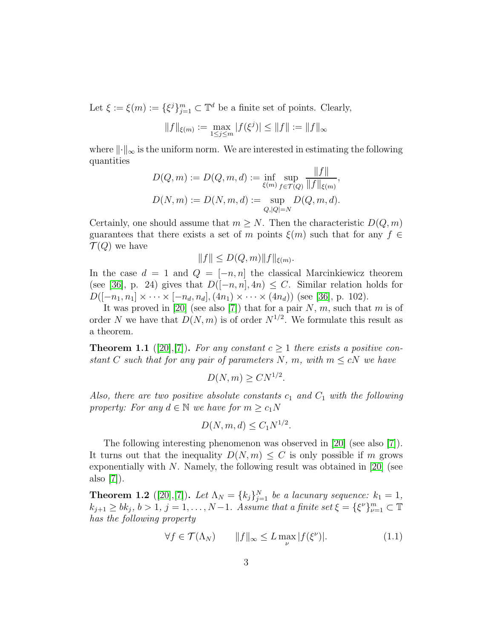Let  $\xi := \xi(m) := {\{\xi^j\}}_{j=1}^m \subset \mathbb{T}^d$  be a finite set of points. Clearly,

$$
||f||_{\xi(m)} := \max_{1 \le j \le m} |f(\xi^j)| \le ||f|| := ||f||_{\infty}
$$

where  $\|\cdot\|_{\infty}$  is the uniform norm. We are interested in estimating the following quantities  $E = eH$ 

$$
D(Q, m) := D(Q, m, d) := \inf_{\xi(m)} \sup_{f \in \mathcal{T}(Q)} \frac{\|f\|}{\|f\|_{\xi(m)}},
$$
  

$$
D(N, m) := D(N, m, d) := \sup_{Q, |Q| = N} D(Q, m, d).
$$

Certainly, one should assume that  $m \geq N$ . Then the characteristic  $D(Q, m)$ guarantees that there exists a set of m points  $\xi(m)$  such that for any  $f \in$  $\mathcal{T}(Q)$  we have

$$
||f|| \leq D(Q,m)||f||_{\xi(m)}
$$
.

In the case  $d = 1$  and  $Q = [-n, n]$  the classical Marcinkiewicz theorem (see [\[36\]](#page-35-2), p. 24) gives that  $D([-n, n], 4n) \leq C$ . Similar relation holds for  $D([-n_1, n_1] \times \cdots \times [-n_d, n_d], (4n_1) \times \cdots \times (4n_d))$  (see [\[36\]](#page-35-2), p. 102).

It was proved in [\[20\]](#page-34-2) (see also [\[7\]](#page-33-0)) that for a pair  $N, m$ , such that m is of order N we have that  $D(N,m)$  is of order  $N^{1/2}$ . We formulate this result as a theorem.

<span id="page-2-1"></span>**Theorem 1.1** ([\[20\]](#page-34-2),[\[7\]](#page-33-0)). For any constant  $c \geq 1$  there exists a positive con*stant* C *such that for any pair of parameters* N, m, with  $m \leq cN$  *we have* 

$$
D(N, m) \geq C N^{1/2}.
$$

*Also, there are two positive absolute constants*  $c_1$  *and*  $C_1$  *with the following property: For any*  $d \in \mathbb{N}$  *we have for*  $m \geq c_1 N$ 

$$
D(N, m, d) \le C_1 N^{1/2}.
$$

The following interesting phenomenon was observed in [\[20\]](#page-34-2) (see also [\[7\]](#page-33-0)). It turns out that the inequality  $D(N, m) \leq C$  is only possible if m grows exponentially with N. Namely, the following result was obtained in  $[20]$  (see also [\[7\]](#page-33-0)).

<span id="page-2-0"></span>**Theorem 1.2** ([\[20\]](#page-34-2),[\[7\]](#page-33-0)). Let  $\Lambda_N = \{k_j\}_{j=1}^N$  be a lacunary sequence:  $k_1 = 1$ ,  $k_{j+1} \ge bk_j, b > 1, j = 1, \ldots, N-1$ . Assume that a finite set  $\xi = {\xi^{\nu}}_{\nu=1}^m \subset \mathbb{T}$ *has the following property*

$$
\forall f \in \mathcal{T}(\Lambda_N) \qquad \|f\|_{\infty} \le L \max_{\nu} |f(\xi^{\nu})|.
$$
 (1.1)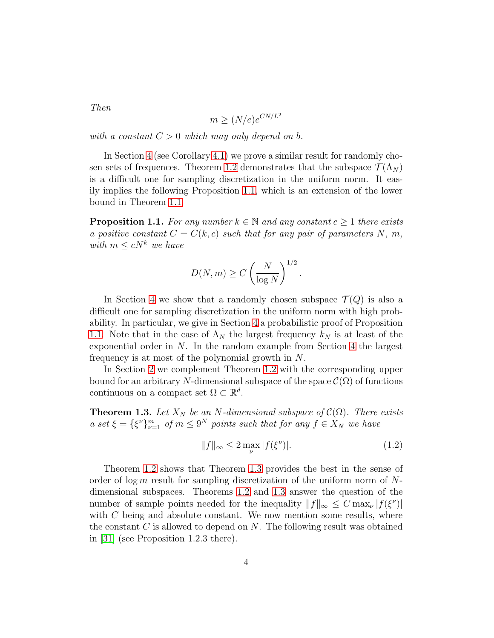$$
m \ge (N/e)e^{CN/L^2}
$$

*with a constant*  $C > 0$  *which may only depend on b.* 

In Section [4](#page-16-0) (see Corollary [4.1\)](#page-19-0) we prove a similar result for randomly cho-sen sets of frequences. Theorem [1.2](#page-2-0) demonstrates that the subspace  $\mathcal{T}(\Lambda_N)$ is a difficult one for sampling discretization in the uniform norm. It easily implies the following Proposition [1.1,](#page-3-0) which is an extension of the lower bound in Theorem [1.1.](#page-2-1)

<span id="page-3-0"></span>**Proposition 1.1.** *For any number*  $k \in \mathbb{N}$  *and any constant*  $c > 1$  *there exists a positive constant*  $C = C(k, c)$  *such that for any pair of parameters* N, m, *with*  $m \leq cN^k$  *we have* 

$$
D(N, m) \ge C \left(\frac{N}{\log N}\right)^{1/2}.
$$

In Section [4](#page-16-0) we show that a randomly chosen subspace  $\mathcal{T}(Q)$  is also a difficult one for sampling discretization in the uniform norm with high probability. In particular, we give in Section [4](#page-16-0) a probabilistic proof of Proposition [1.1.](#page-3-0) Note that in the case of  $\Lambda_N$  the largest frequency  $k_N$  is at least of the exponential order in  $N$ . In the random example from Section [4](#page-16-0) the largest frequency is at most of the polynomial growth in N.

In Section [2](#page-6-0) we complement Theorem [1.2](#page-2-0) with the corresponding upper bound for an arbitrary N-dimensional subspace of the space  $\mathcal{C}(\Omega)$  of functions continuous on a compact set  $\Omega \subset \mathbb{R}^d$ .

<span id="page-3-1"></span>**Theorem 1.3.** Let  $X_N$  be an N-dimensional subspace of  $\mathcal{C}(\Omega)$ . There exists *a* set  $\xi = {\xi^{\nu}}_{\nu=1}^m$  of  $m \leq 9^N$  points such that for any  $f \in X_N$  we have

<span id="page-3-2"></span>
$$
||f||_{\infty} \le 2 \max_{\nu} |f(\xi^{\nu})|.
$$
 (1.2)

Theorem [1.2](#page-2-0) shows that Theorem [1.3](#page-3-1) provides the best in the sense of order of log m result for sampling discretization of the uniform norm of  $N$ dimensional subspaces. Theorems [1.2](#page-2-0) and [1.3](#page-3-1) answer the question of the number of sample points needed for the inequality  $||f||_{\infty} \leq C \max_{\nu} |f(\xi^{\nu})|$ with  $C$  being and absolute constant. We now mention some results, where the constant  $C$  is allowed to depend on  $N$ . The following result was obtained in [\[31\]](#page-35-3) (see Proposition 1.2.3 there).

*Then*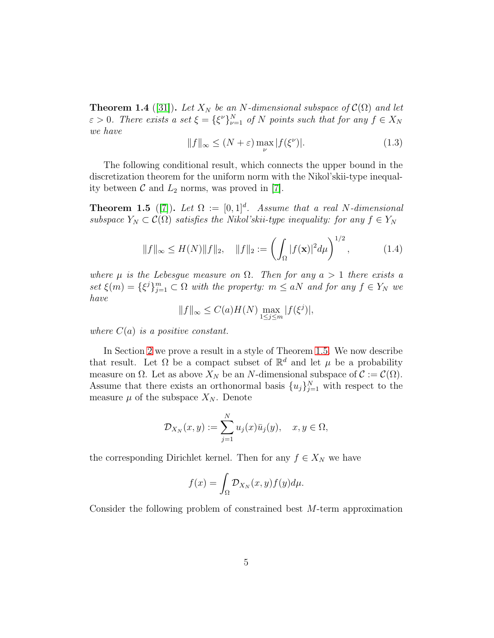**Theorem 1.4** ([\[31\]](#page-35-3)). Let  $X_N$  be an N-dimensional subspace of  $\mathcal{C}(\Omega)$  and let  $\varepsilon > 0$ . There exists a set  $\xi = {\xi^{\nu}}_{\nu=1}^{N}$  of N points such that for any  $f \in X_N$ *we have*

$$
||f||_{\infty} \le (N + \varepsilon) \max_{\nu} |f(\xi^{\nu})|.
$$
 (1.3)

The following conditional result, which connects the upper bound in the discretization theorem for the uniform norm with the Nikol'skii-type inequality between  $\mathcal C$  and  $L_2$  norms, was proved in [\[7\]](#page-33-0).

<span id="page-4-0"></span>**Theorem 1.5** ([\[7\]](#page-33-0)). Let  $\Omega := [0,1]^d$ . Assume that a real N-dimensional *subspace*  $Y_N \subset \mathcal{C}(\Omega)$  *satisfies the Nikol'skii-type inequality: for any*  $f \in Y_N$ 

$$
||f||_{\infty} \le H(N)||f||_2, \quad ||f||_2 := \left(\int_{\Omega} |f(\mathbf{x})|^2 d\mu\right)^{1/2},\tag{1.4}
$$

*where*  $\mu$  *is the Lebesgue measure on*  $\Omega$ *. Then for any*  $a > 1$  *there exists a*  $set \xi(m) = {\xi^{j}}_{j=1}^{m} \subset \Omega$  *with the property:*  $m \le aN$  *and for any*  $f \in Y_N$  *we have*

$$
||f||_{\infty} \leq C(a)H(N) \max_{1 \leq j \leq m} |f(\xi^j)|,
$$

*where* C(a) *is a positive constant.*

In Section [2](#page-6-0) we prove a result in a style of Theorem [1.5.](#page-4-0) We now describe that result. Let  $\Omega$  be a compact subset of  $\mathbb{R}^d$  and let  $\mu$  be a probability measure on  $\Omega$ . Let as above  $X_N$  be an N-dimensional subspace of  $\mathcal{C} := \mathcal{C}(\Omega)$ . Assume that there exists an orthonormal basis  $\{u_j\}_{j=1}^N$  with respect to the measure  $\mu$  of the subspace  $X_N$ . Denote

$$
\mathcal{D}_{X_N}(x,y) := \sum_{j=1}^N u_j(x)\bar{u}_j(y), \quad x, y \in \Omega,
$$

the corresponding Dirichlet kernel. Then for any  $f \in X_N$  we have

$$
f(x) = \int_{\Omega} \mathcal{D}_{X_N}(x, y) f(y) d\mu.
$$

Consider the following problem of constrained best M-term approximation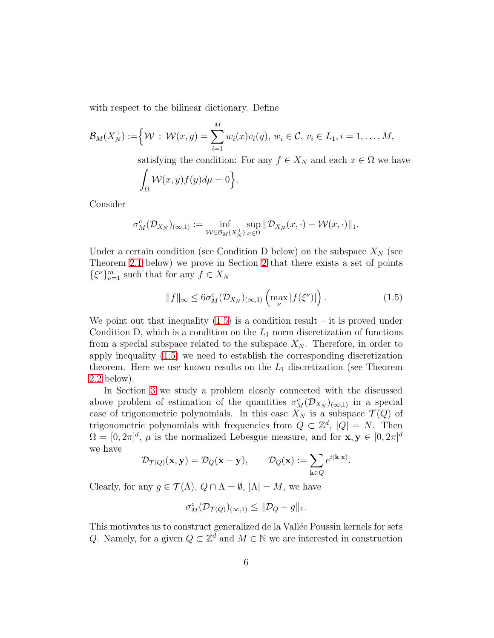with respect to the bilinear dictionary. Define

$$
\mathcal{B}_M(X_N^{\perp}) := \Big\{ \mathcal{W} : \mathcal{W}(x,y) = \sum_{i=1}^M w_i(x)v_i(y), \ w_i \in \mathcal{C}, \ v_i \in L_1, i = 1, \dots, M,
$$

satisfying the condition: For any  $f \in X_N$  and each  $x \in \Omega$  we have

$$
\int_{\Omega} \mathcal{W}(x, y) f(y) d\mu = 0 \Big\}.
$$

Consider

$$
\sigma_M^c(\mathcal{D}_{X_N})_{(\infty,1)} := \inf_{\mathcal{W}\in\mathcal{B}_M(X_N^{\perp})} \sup_{x\in\Omega} \|\mathcal{D}_{X_N}(x,\cdot) - \mathcal{W}(x,\cdot)\|_1.
$$

Under a certain condition (see Condition D below) on the subspace  $X_N$  (see Theorem [2.1](#page-7-0) below) we prove in Section [2](#page-6-0) that there exists a set of points  $\{\xi^{\nu}\}_{\nu=1}^m$  such that for any  $f\in X_N$ 

<span id="page-5-0"></span>
$$
||f||_{\infty} \leq 6\sigma_M^c(\mathcal{D}_{X_N})_{(\infty,1)} \left( \max_{\nu} |f(\xi^{\nu})| \right). \tag{1.5}
$$

We point out that inequality  $(1.5)$  is a condition result – it is proved under Condition D, which is a condition on the  $L_1$  norm discretization of functions from a special subspace related to the subspace  $X_N$ . Therefore, in order to apply inequality [\(1.5\)](#page-5-0) we need to establish the corresponding discretization theorem. Here we use known results on the  $L_1$  discretization (see Theorem [2.2](#page-8-0) below).

In Section [3](#page-12-0) we study a problem closely connected with the discussed above problem of estimation of the quantities  $\sigma_M^c(\mathcal{D}_{X_N})_{(\infty,1)}$  in a special case of trigonometric polynomials. In this case  $X_N$  is a subspace  $\mathcal{T}(Q)$  of trigonometric polynomials with frequencies from  $Q \subset \mathbb{Z}^d$ ,  $|Q| = N$ . Then  $\Omega = [0, 2\pi]^d$ ,  $\mu$  is the normalized Lebesgue measure, and for  $\mathbf{x}, \mathbf{y} \in [0, 2\pi]^d$ we have

$$
\mathcal{D}_{\mathcal{T}(Q)}(\mathbf{x}, \mathbf{y}) = \mathcal{D}_{Q}(\mathbf{x} - \mathbf{y}), \qquad \mathcal{D}_{Q}(\mathbf{x}) := \sum_{\mathbf{k} \in Q} e^{i(\mathbf{k}, \mathbf{x})}.
$$

Clearly, for any  $g \in \mathcal{T}(\Lambda)$ ,  $Q \cap \Lambda = \emptyset$ ,  $|\Lambda| = M$ , we have

$$
\sigma_M^c(\mathcal{D}_{\mathcal{T}(Q)})_{(\infty,1)} \leq \|\mathcal{D}_Q - g\|_1.
$$

This motivates us to construct generalized de la Vallée Poussin kernels for sets Q. Namely, for a given  $Q \subset \mathbb{Z}^d$  and  $M \in \mathbb{N}$  we are interested in construction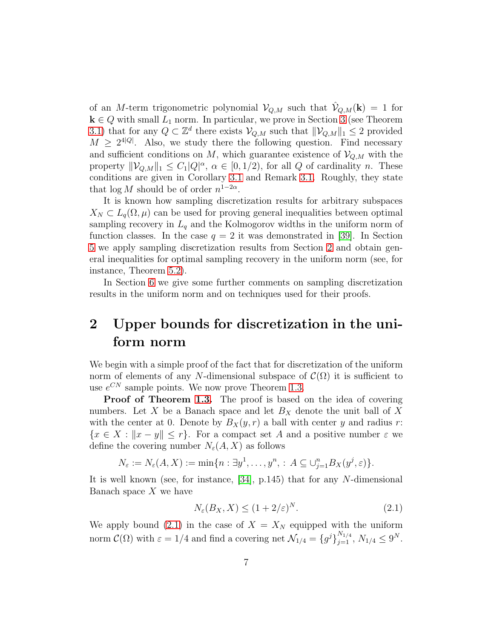of an M-term trigonometric polynomial  $\mathcal{V}_{Q,M}$  such that  $\hat{\mathcal{V}}_{Q,M}(\mathbf{k}) = 1$  for  $k \in Q$  with small  $L_1$  norm. In particular, we prove in Section [3](#page-12-0) (see Theorem [3.1\)](#page-14-0) that for any  $Q \subset \mathbb{Z}^d$  there exists  $V_{Q,M}$  such that  $\|\mathcal{V}_{Q,M}\|_1 \leq 2$  provided  $M \geq 2^{4|Q|}$ . Also, we study there the following question. Find necessary and sufficient conditions on  $M$ , which guarantee existence of  $\mathcal{V}_{Q,M}$  with the property  $\|\mathcal{V}_{Q,M}\|_1 \leq C_1|Q|^{\alpha}, \ \alpha \in [0, 1/2)$ , for all Q of cardinality n. These conditions are given in Corollary [3.1](#page-15-0) and Remark [3.1.](#page-15-1) Roughly, they state that  $\log M$  should be of order  $n^{1-2\alpha}$ .

It is known how sampling discretization results for arbitrary subspaces  $X_N \subset L_q(\Omega, \mu)$  can be used for proving general inequalities between optimal sampling recovery in  $L_q$  and the Kolmogorov widths in the uniform norm of function classes. In the case  $q = 2$  it was demonstrated in [\[39\]](#page-36-2). In Section [5](#page-21-0) we apply sampling discretization results from Section [2](#page-6-0) and obtain general inequalities for optimal sampling recovery in the uniform norm (see, for instance, Theorem [5.2\)](#page-23-0).

In Section [6](#page-26-0) we give some further comments on sampling discretization results in the uniform norm and on techniques used for their proofs.

# <span id="page-6-0"></span>2 Upper bounds for discretization in the uniform norm

We begin with a simple proof of the fact that for discretization of the uniform norm of elements of any N-dimensional subspace of  $\mathcal{C}(\Omega)$  it is sufficient to use  $e^{CN}$  sample points. We now prove Theorem [1.3.](#page-3-1)

Proof of Theorem [1.3.](#page-3-1) The proof is based on the idea of covering numbers. Let X be a Banach space and let  $B<sub>X</sub>$  denote the unit ball of X with the center at 0. Denote by  $B_X(y, r)$  a ball with center y and radius r:  ${x \in X : ||x - y|| \leq r}$ . For a compact set A and a positive number  $\varepsilon$  we define the covering number  $N_{\varepsilon}(A, X)$  as follows

$$
N_{\varepsilon} := N_{\varepsilon}(A, X) := \min\{n : \exists y^1, \dots, y^n, : A \subseteq \bigcup_{j=1}^n B_X(y^j, \varepsilon)\}.
$$

It is well known (see, for instance, [\[34\]](#page-35-4), p.145) that for any N-dimensional Banach space  $X$  we have

<span id="page-6-1"></span>
$$
N_{\varepsilon}(B_X, X) \le (1 + 2/\varepsilon)^N. \tag{2.1}
$$

We apply bound [\(2.1\)](#page-6-1) in the case of  $X = X_N$  equipped with the uniform norm  $\mathcal{C}(\Omega)$  with  $\varepsilon = 1/4$  and find a covering net  $\mathcal{N}_{1/4} = \{g^j\}_{j=1}^{N_{1/4}}, N_{1/4} \leq 9^N$ .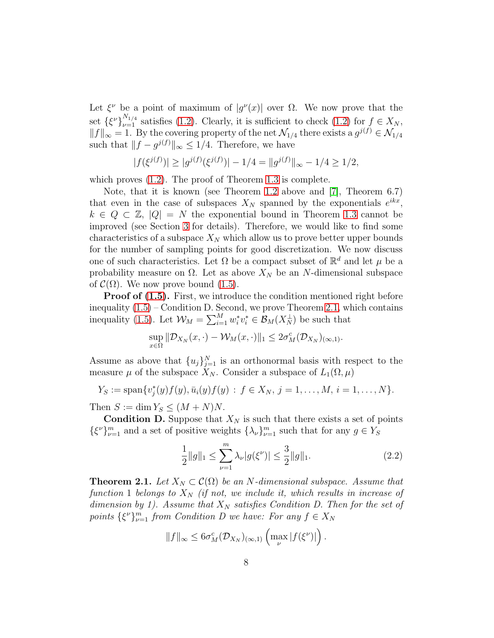Let  $\xi^{\nu}$  be a point of maximum of  $|g^{\nu}(x)|$  over  $\Omega$ . We now prove that the set  $\{\xi^{\nu}\}_{\nu=1}^{N_{1/4}}$  satisfies [\(1.2\)](#page-3-2). Clearly, it is sufficient to check (1.2) for  $f \in X_N$ ,  $||f||_{\infty} = 1$ . By the covering property of the net  $\mathcal{N}_{1/4}$  there exists a  $g^{j(f)} \in \mathcal{N}_{1/4}$ such that  $||f - g^{j(f)}||_{\infty} \leq 1/4$ . Therefore, we have

$$
|f(\xi^{j(f)})| \ge |g^{j(f)}(\xi^{j(f)})| - 1/4 = ||g^{j(f)}||_{\infty} - 1/4 \ge 1/2,
$$

which proves [\(1.2\)](#page-3-2). The proof of Theorem [1.3](#page-3-1) is complete.

Note, that it is known (see Theorem [1.2](#page-2-0) above and [\[7\]](#page-33-0), Theorem 6.7) that even in the case of subspaces  $X_N$  spanned by the exponentials  $e^{ikx}$ ,  $k \in Q \subset \mathbb{Z}$ ,  $|Q| = N$  the exponential bound in Theorem [1.3](#page-3-1) cannot be improved (see Section [3](#page-12-0) for details). Therefore, we would like to find some characteristics of a subspace  $X_N$  which allow us to prove better upper bounds for the number of sampling points for good discretization. We now discuss one of such characteristics. Let  $\Omega$  be a compact subset of  $\mathbb{R}^d$  and let  $\mu$  be a probability measure on  $\Omega$ . Let as above  $X_N$  be an N-dimensional subspace of  $\mathcal{C}(\Omega)$ . We now prove bound [\(1.5\)](#page-5-0).

**Proof of [\(1.5\)](#page-5-0).** First, we introduce the condition mentioned right before inequality  $(1.5)$  – Condition D. Second, we prove Theorem [2.1,](#page-7-0) which contains inequality [\(1.5\)](#page-5-0). Let  $\mathcal{W}_M = \sum_{i=1}^M w_i^* v_i^* \in \mathcal{B}_M(X_N^{\perp})$  be such that

$$
\sup_{x \in \Omega} \|\mathcal{D}_{X_N}(x,\cdot) - \mathcal{W}_M(x,\cdot)\|_1 \leq 2\sigma_M^c(\mathcal{D}_{X_N})_{(\infty,1)}.
$$

Assume as above that  ${u_j}_{j=1}^N$  is an orthonormal basis with respect to the measure  $\mu$  of the subspace  $X_N$ . Consider a subspace of  $L_1(\Omega, \mu)$ 

$$
Y_S := \mathrm{span}\{v_j^*(y)f(y), \bar{u}_i(y)f(y) : f \in X_N, j = 1, \ldots, M, i = 1, \ldots, N\}.
$$

Then  $S := \dim Y_S \leq (M + N)N$ .

**Condition D.** Suppose that  $X_N$  is such that there exists a set of points  $\{\xi^{\nu}\}_{\nu=1}^m$  and a set of positive weights  $\{\lambda_{\nu}\}_{\nu=1}^m$  such that for any  $g \in Y_S$ 

<span id="page-7-1"></span>
$$
\frac{1}{2}||g||_1 \le \sum_{\nu=1}^m \lambda_\nu |g(\xi^\nu)| \le \frac{3}{2}||g||_1. \tag{2.2}
$$

<span id="page-7-0"></span>**Theorem 2.1.** *Let*  $X_N \subset \mathcal{C}(\Omega)$  *be an N*-dimensional subspace. Assume that *function* 1 *belongs to*  $X_N$  *(if not, we include it, which results in increase of dimension by 1). Assume that*  $X_N$  *satisfies Condition D. Then for the set of points*  $\{\xi^{\nu}\}_{\nu=1}^{m}$  *from Condition D we have: For any*  $f \in X_N$ 

$$
||f||_{\infty} \leq 6\sigma_M^c(\mathcal{D}_{X_N})_{(\infty,1)} \left( \max_{\nu} |f(\xi^{\nu})| \right).
$$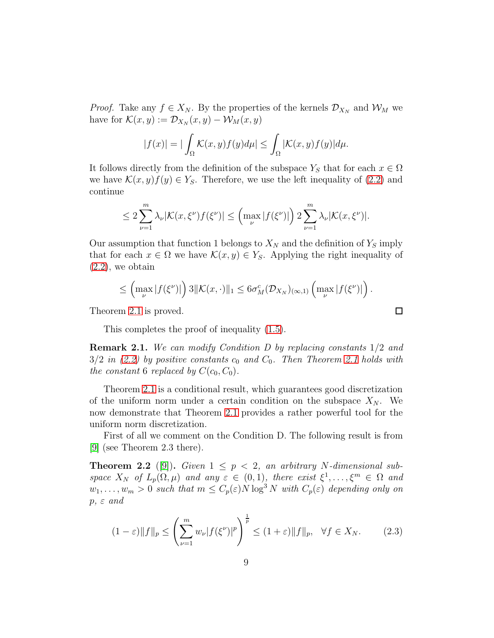*Proof.* Take any  $f \in X_N$ . By the properties of the kernels  $\mathcal{D}_{X_N}$  and  $\mathcal{W}_M$  we have for  $\mathcal{K}(x, y) := \mathcal{D}_{X_N}(x, y) - \mathcal{W}_M(x, y)$ 

$$
|f(x)| = |\int_{\Omega} \mathcal{K}(x, y) f(y) d\mu| \le \int_{\Omega} |\mathcal{K}(x, y) f(y)| d\mu.
$$

It follows directly from the definition of the subspace  $Y_S$  that for each  $x \in \Omega$ we have  $\mathcal{K}(x, y)f(y) \in Y_{\mathcal{S}}$ . Therefore, we use the left inequality of [\(2.2\)](#page-7-1) and continue

$$
\leq 2\sum_{\nu=1}^m \lambda_{\nu}|\mathcal{K}(x,\xi^{\nu})f(\xi^{\nu})| \leq \left(\max_{\nu} |f(\xi^{\nu})|\right)2\sum_{\nu=1}^m \lambda_{\nu}|\mathcal{K}(x,\xi^{\nu})|.
$$

Our assumption that function 1 belongs to  $X_N$  and the definition of  $Y_S$  imply that for each  $x \in \Omega$  we have  $\mathcal{K}(x, y) \in Y_{S}$ . Applying the right inequality of  $(2.2)$ , we obtain

$$
\leq \left(\max_{\nu} |f(\xi^{\nu})|\right)3\|\mathcal{K}(x,\cdot)\|_{1} \leq 6\sigma_{M}^{c}(\mathcal{D}_{X_{N}})_{(\infty,1)}\left(\max_{\nu} |f(\xi^{\nu})|\right).
$$

 $\Box$ 

Theorem [2.1](#page-7-0) is proved.

This completes the proof of inequality [\(1.5\)](#page-5-0).

<span id="page-8-1"></span>Remark 2.1. *We can modify Condition D by replacing constants* 1/2 *and*  $3/2$  *in* [\(2.2\)](#page-7-1) by positive constants  $c_0$  and  $C_0$ . Then Theorem [2.1](#page-7-0) holds with *the constant* 6 *replaced by*  $C(c_0, C_0)$ *.* 

Theorem [2.1](#page-7-0) is a conditional result, which guarantees good discretization of the uniform norm under a certain condition on the subspace  $X_N$ . We now demonstrate that Theorem [2.1](#page-7-0) provides a rather powerful tool for the uniform norm discretization.

First of all we comment on the Condition D. The following result is from [\[9\]](#page-33-4) (see Theorem 2.3 there).

<span id="page-8-0"></span>**Theorem 2.2** ([\[9\]](#page-33-4)). *Given*  $1 \leq p \leq 2$ , an arbitrary *N*-dimensional sub*space*  $X_N$  *of*  $L_p(\Omega, \mu)$  *and any*  $\varepsilon \in (0, 1)$ *, there exist*  $\xi^1, \ldots, \xi^m \in \Omega$  *and*  $w_1, \ldots, w_m > 0$  such that  $m \leq C_p(\varepsilon)N \log^3 N$  with  $C_p(\varepsilon)$  depending only on p*,* ε *and*

$$
(1 - \varepsilon) \|f\|_p \le \left(\sum_{\nu=1}^m w_\nu |f(\xi^\nu)|^p\right)^{\frac{1}{p}} \le (1 + \varepsilon) \|f\|_p, \quad \forall f \in X_N. \tag{2.3}
$$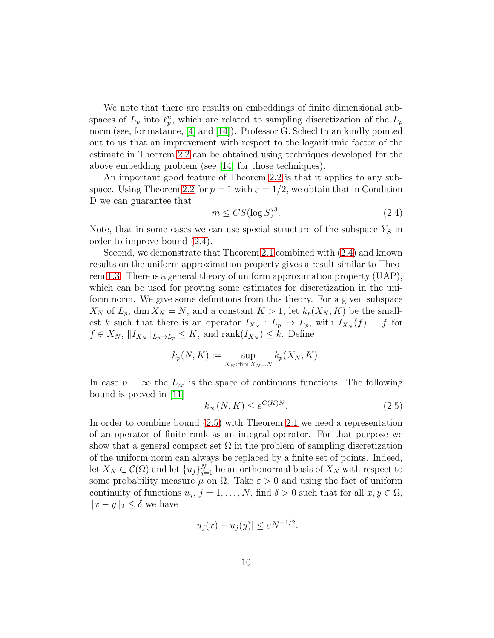We note that there are results on embeddings of finite dimensional subspaces of  $L_p$  into  $\ell_p^n$ , which are related to sampling discretization of the  $L_p$ norm (see, for instance,  $|4|$  and  $|14|$ ). Professor G. Schechtman kindly pointed out to us that an improvement with respect to the logarithmic factor of the estimate in Theorem [2.2](#page-8-0) can be obtained using techniques developed for the above embedding problem (see [\[14\]](#page-33-5) for those techniques).

An important good feature of Theorem [2.2](#page-8-0) is that it applies to any sub-space. Using Theorem [2.2](#page-8-0) for  $p = 1$  with  $\varepsilon = 1/2$ , we obtain that in Condition D we can guarantee that

<span id="page-9-0"></span>
$$
m \le CS(\log S)^3. \tag{2.4}
$$

Note, that in some cases we can use special structure of the subspace  $Y<sub>S</sub>$  in order to improve bound [\(2.4\)](#page-9-0).

Second, we demonstrate that Theorem [2.1](#page-7-0) combined with [\(2.4\)](#page-9-0) and known results on the uniform approximation property gives a result similar to Theorem [1.3.](#page-3-1) There is a general theory of uniform approximation property (UAP), which can be used for proving some estimates for discretization in the uniform norm. We give some definitions from this theory. For a given subspace  $X_N$  of  $L_p$ , dim  $X_N = N$ , and a constant  $K > 1$ , let  $k_p(X_N, K)$  be the smallest k such that there is an operator  $I_{X_N}: L_p \to L_p$ , with  $I_{X_N}(f) = f$  for  $f \in X_N$ ,  $||I_{X_N}||_{L_p \to L_p} \leq K$ , and  $rank(I_{X_N}) \leq k$ . Define

$$
k_p(N, K) := \sup_{X_N: \dim X_N = N} k_p(X_N, K).
$$

In case  $p = \infty$  the  $L_{\infty}$  is the space of continuous functions. The following bound is proved in [\[11\]](#page-33-6)

<span id="page-9-1"></span>
$$
k_{\infty}(N,K) \le e^{C(K)N}.\tag{2.5}
$$

In order to combine bound [\(2.5\)](#page-9-1) with Theorem [2.1](#page-7-0) we need a representation of an operator of finite rank as an integral operator. For that purpose we show that a general compact set  $\Omega$  in the problem of sampling discretization of the uniform norm can always be replaced by a finite set of points. Indeed, let  $X_N \subset \mathcal{C}(\Omega)$  and let  $\{u_j\}_{j=1}^N$  be an orthonormal basis of  $X_N$  with respect to some probability measure  $\mu$  on  $\Omega$ . Take  $\varepsilon > 0$  and using the fact of uniform continuity of functions  $u_j$ ,  $j = 1, ..., N$ , find  $\delta > 0$  such that for all  $x, y \in \Omega$ ,  $||x - y||_2 \leq \delta$  we have

$$
|u_j(x) - u_j(y)| \le \varepsilon N^{-1/2}.
$$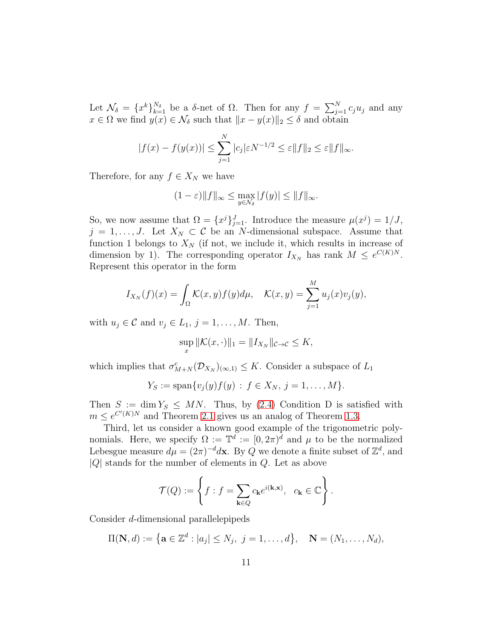Let  $\mathcal{N}_{\delta} = \{x^{k}\}_{k=1}^{N_{\delta}}$  be a  $\delta$ -net of  $\Omega$ . Then for any  $f = \sum_{j=1}^{N} c_j u_j$  and any  $x \in \Omega$  we find  $y(x) \in \mathcal{N}_{\delta}$  such that  $||x - y(x)||_2 \leq \delta$  and obtain

$$
|f(x) - f(y(x))| \le \sum_{j=1}^{N} |c_j| \varepsilon N^{-1/2} \le \varepsilon ||f||_2 \le \varepsilon ||f||_{\infty}.
$$

Therefore, for any  $f \in X_N$  we have

$$
(1 - \varepsilon) \|f\|_{\infty} \le \max_{y \in \mathcal{N}_{\delta}} |f(y)| \le \|f\|_{\infty}.
$$

So, we now assume that  $\Omega = \{x^j\}_{j=1}^J$ . Introduce the measure  $\mu(x^j) = 1/J$ ,  $j = 1, \ldots, J$ . Let  $X_N \subset \mathcal{C}$  be an N-dimensional subspace. Assume that function 1 belongs to  $X_N$  (if not, we include it, which results in increase of dimension by 1). The corresponding operator  $I_{X_N}$  has rank  $M \leq e^{C(K)N}$ . Represent this operator in the form

$$
I_{X_N}(f)(x) = \int_{\Omega} \mathcal{K}(x, y) f(y) d\mu, \quad \mathcal{K}(x, y) = \sum_{j=1}^{M} u_j(x) v_j(y),
$$

with  $u_j \in \mathcal{C}$  and  $v_j \in L_1$ ,  $j = 1, ..., M$ . Then,

$$
\sup_x \|\mathcal{K}(x,\cdot)\|_1 = \|I_{X_N}\|_{\mathcal{C}\to\mathcal{C}} \leq K,
$$

which implies that  $\sigma_{M+N}^c(\mathcal{D}_{X_N})_{(\infty,1)} \leq K$ . Consider a subspace of  $L_1$ 

$$
Y_S := \text{span}\{v_j(y)f(y) : f \in X_N, j = 1, ..., M\}.
$$

Then  $S := \dim Y_S \leq MN$ . Thus, by [\(2.4\)](#page-9-0) Condition D is satisfied with  $m \leq e^{C'(K)N}$  and Theorem [2.1](#page-7-0) gives us an analog of Theorem [1.3.](#page-3-1)

Third, let us consider a known good example of the trigonometric polynomials. Here, we specify  $\Omega := \mathbb{T}^d := [0, 2\pi)^d$  and  $\mu$  to be the normalized Lebesgue measure  $d\mu = (2\pi)^{-d} d\mathbf{x}$ . By Q we denote a finite subset of  $\mathbb{Z}^d$ , and  $|Q|$  stands for the number of elements in  $Q$ . Let as above

$$
\mathcal{T}(Q) := \left\{ f : f = \sum_{\mathbf{k} \in Q} c_{\mathbf{k}} e^{i(\mathbf{k}, \mathbf{x})}, \ \ c_{\mathbf{k}} \in \mathbb{C} \right\}.
$$

Consider d-dimensional parallelepipeds

$$
\Pi(\mathbf{N}, d) := \{ \mathbf{a} \in \mathbb{Z}^d : |a_j| \le N_j, \ j = 1, \dots, d \}, \quad \mathbf{N} = (N_1, \dots, N_d),
$$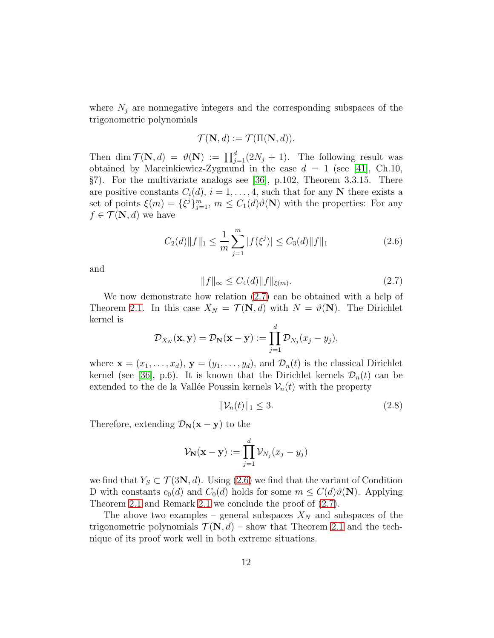where  $N_j$  are nonnegative integers and the corresponding subspaces of the trigonometric polynomials

$$
\mathcal{T}(\mathbf{N},d) := \mathcal{T}(\Pi(\mathbf{N},d)).
$$

Then dim  $\mathcal{T}(\mathbf{N}, d) = \vartheta(\mathbf{N}) := \prod_{j=1}^d (2N_j + 1)$ . The following result was obtained by Marcinkiewicz-Zygmund in the case  $d = 1$  (see [\[41\]](#page-36-0), Ch.10, §7). For the multivariate analogs see [\[36\]](#page-35-2), p.102, Theorem 3.3.15. There are positive constants  $C_i(d)$ ,  $i = 1, \ldots, 4$ , such that for any N there exists a set of points  $\xi(m) = {\xi^j}_{j=1}^m$ ,  $m \leq C_1(d)\vartheta(N)$  with the properties: For any  $f \in \mathcal{T}(\mathbf{N}, d)$  we have

<span id="page-11-1"></span>
$$
C_2(d)\|f\|_1 \le \frac{1}{m} \sum_{j=1}^m |f(\xi^j)| \le C_3(d) \|f\|_1
$$
\n(2.6)

and

<span id="page-11-0"></span>
$$
||f||_{\infty} \le C_4(d) ||f||_{\xi(m)}.
$$
\n(2.7)

We now demonstrate how relation [\(2.7\)](#page-11-0) can be obtained with a help of Theorem [2.1.](#page-7-0) In this case  $X_N = \mathcal{T}(\mathbf{N}, d)$  with  $N = \vartheta(\mathbf{N})$ . The Dirichlet kernel is

$$
\mathcal{D}_{X_N}(\mathbf{x}, \mathbf{y}) = \mathcal{D}_{\mathbf{N}}(\mathbf{x} - \mathbf{y}) := \prod_{j=1}^d \mathcal{D}_{N_j}(x_j - y_j),
$$

where  $\mathbf{x} = (x_1, \ldots, x_d)$ ,  $\mathbf{y} = (y_1, \ldots, y_d)$ , and  $\mathcal{D}_n(t)$  is the classical Dirichlet kernel (see [\[36\]](#page-35-2), p.6). It is known that the Dirichlet kernels  $\mathcal{D}_n(t)$  can be extended to the de la Vallée Poussin kernels  $\mathcal{V}_n(t)$  with the property

$$
\|\mathcal{V}_n(t)\|_1 \le 3. \tag{2.8}
$$

Therefore, extending  $\mathcal{D}_{\mathbf{N}}(\mathbf{x}-\mathbf{y})$  to the

$$
\mathcal{V}_{\mathbf{N}}(\mathbf{x}-\mathbf{y}) := \prod_{j=1}^d \mathcal{V}_{N_j}(x_j - y_j)
$$

we find that  $Y_s \subset \mathcal{T}(3\mathbf{N}, d)$ . Using [\(2.6\)](#page-11-1) we find that the variant of Condition D with constants  $c_0(d)$  and  $C_0(d)$  holds for some  $m \leq C(d)\vartheta(\mathbf{N})$ . Applying Theorem [2.1](#page-7-0) and Remark [2.1](#page-8-1) we conclude the proof of [\(2.7\)](#page-11-0).

The above two examples – general subspaces  $X_N$  and subspaces of the trigonometric polynomials  $\mathcal{T}(\mathbf{N}, d)$  – show that Theorem [2.1](#page-7-0) and the technique of its proof work well in both extreme situations.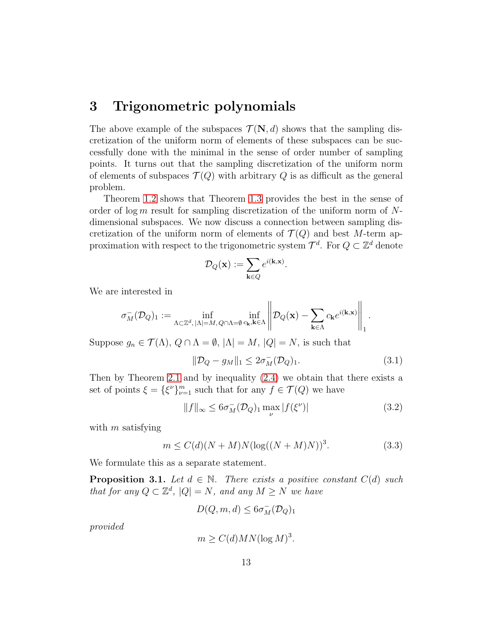#### <span id="page-12-0"></span>3 Trigonometric polynomials

The above example of the subspaces  $\mathcal{T}(\mathbf{N}, d)$  shows that the sampling discretization of the uniform norm of elements of these subspaces can be successfully done with the minimal in the sense of order number of sampling points. It turns out that the sampling discretization of the uniform norm of elements of subspaces  $\mathcal{T}(Q)$  with arbitrary Q is as difficult as the general problem.

Theorem [1.2](#page-2-0) shows that Theorem [1.3](#page-3-1) provides the best in the sense of order of log m result for sampling discretization of the uniform norm of  $N$ dimensional subspaces. We now discuss a connection between sampling discretization of the uniform norm of elements of  $\mathcal{T}(Q)$  and best M-term approximation with respect to the trigonometric system  $\mathcal{T}^d$ . For  $Q \subset \mathbb{Z}^d$  denote

$$
\mathcal{D}_Q(\mathbf{x}) := \sum_{\mathbf{k} \in Q} e^{i(\mathbf{k}, \mathbf{x})}
$$

We are interested in

$$
\sigma_M^-(\mathcal{D}_Q)_1:=\inf_{\Lambda\subset\mathbb{Z}^d,\,|\Lambda|=M,\,Q\cap\Lambda=\emptyset}\inf_{c_\mathbf{k},\mathbf{k}\in\Lambda}\left\|\mathcal{D}_Q(\mathbf{x})-\sum_{\mathbf{k}\in\Lambda}c_\mathbf{k}e^{i(\mathbf{k},\mathbf{x})}\right\|_1
$$

Suppose  $g_n \in \mathcal{T}(\Lambda)$ ,  $Q \cap \Lambda = \emptyset$ ,  $|\Lambda| = M$ ,  $|Q| = N$ , is such that

$$
\|\mathcal{D}_Q - g_M\|_1 \le 2\sigma_M^-(\mathcal{D}_Q)_1. \tag{3.1}
$$

.

.

Then by Theorem [2.1](#page-7-0) and by inequality [\(2.4\)](#page-9-0) we obtain that there exists a set of points  $\xi = {\xi^{\nu}}_{\nu=1}^{m}$  such that for any  $f \in \mathcal{T}(Q)$  we have

<span id="page-12-2"></span>
$$
||f||_{\infty} \leq 6\sigma_M^-(\mathcal{D}_Q)_1 \max_{\nu} |f(\xi^{\nu})| \tag{3.2}
$$

with  $m$  satisfying

<span id="page-12-1"></span>
$$
m \le C(d)(N+M)N(\log((N+M)N))^3.
$$
 (3.3)

We formulate this as a separate statement.

<span id="page-12-3"></span>**Proposition 3.1.** *Let*  $d \in \mathbb{N}$ . *There exists a positive constant*  $C(d)$  *such that for any*  $Q \subset \mathbb{Z}^d$ ,  $|Q| = N$ *, and any*  $M \geq N$  *we have* 

$$
D(Q, m, d) \leq 6\sigma_M^-(\mathcal{D}_Q)_1
$$

*provided*

$$
m \ge C(d)MN(\log M)^3.
$$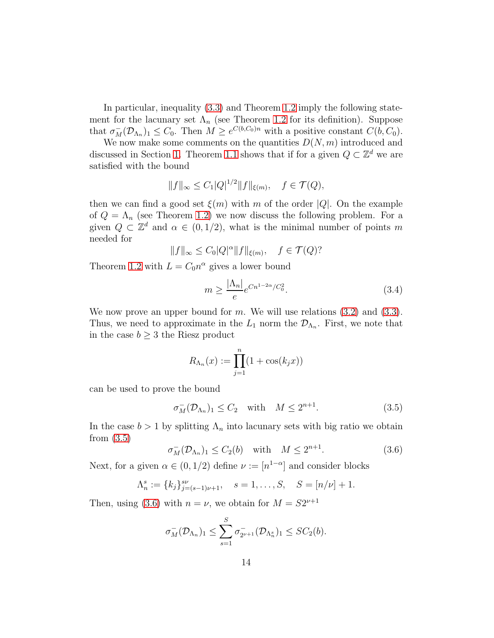In particular, inequality [\(3.3\)](#page-12-1) and Theorem [1.2](#page-2-0) imply the following statement for the lacunary set  $\Lambda_n$  (see Theorem [1.2](#page-2-0) for its definition). Suppose that  $\sigma_M^-(\mathcal{D}_{\Lambda_n})_1 \leq C_0$ . Then  $M \geq e^{C(b,C_0)n}$  with a positive constant  $C(b,C_0)$ .

We now make some comments on the quantities  $D(N, m)$  introduced and discussed in Section [1.](#page-0-0) Theorem [1.1](#page-2-1) shows that if for a given  $Q \subset \mathbb{Z}^d$  we are satisfied with the bound

$$
||f||_{\infty} \le C_1 |Q|^{1/2} ||f||_{\xi(m)}, \quad f \in \mathcal{T}(Q),
$$

then we can find a good set  $\xi(m)$  with m of the order |Q|. On the example of  $Q = \Lambda_n$  (see Theorem [1.2\)](#page-2-0) we now discuss the following problem. For a given  $Q \subset \mathbb{Z}^d$  and  $\alpha \in (0, 1/2)$ , what is the minimal number of points m needed for

$$
||f||_{\infty} \leq C_0|Q|^{\alpha}||f||_{\xi(m)}, \quad f \in \mathcal{T}(Q)?
$$

Theorem [1.2](#page-2-0) with  $L = C_0 n^{\alpha}$  gives a lower bound

$$
m \ge \frac{|\Lambda_n|}{e} e^{Cn^{1-2\alpha}/C_0^2}.
$$
\n(3.4)

We now prove an upper bound for m. We will use relations  $(3.2)$  and  $(3.3)$ . Thus, we need to approximate in the  $L_1$  norm the  $\mathcal{D}_{\Lambda_n}$ . First, we note that in the case  $b \geq 3$  the Riesz product

$$
R_{\Lambda_n}(x) := \prod_{j=1}^n (1 + \cos(k_j x))
$$

can be used to prove the bound

<span id="page-13-0"></span>
$$
\sigma_M^-(\mathcal{D}_{\Lambda_n})_1 \le C_2 \quad \text{with} \quad M \le 2^{n+1}.\tag{3.5}
$$

In the case  $b > 1$  by splitting  $\Lambda_n$  into lacunary sets with big ratio we obtain from [\(3.5\)](#page-13-0)

<span id="page-13-1"></span>
$$
\sigma_M^-(\mathcal{D}_{\Lambda_n})_1 \le C_2(b) \quad \text{with} \quad M \le 2^{n+1}.\tag{3.6}
$$

Next, for a given  $\alpha \in (0, 1/2)$  define  $\nu := [n^{1-\alpha}]$  and consider blocks

$$
\Lambda_n^s := \{k_j\}_{j=(s-1)\nu+1}^{s\nu}, \quad s=1,\ldots,S, \quad S = [n/\nu]+1.
$$

Then, using [\(3.6\)](#page-13-1) with  $n = \nu$ , we obtain for  $M = S2^{\nu+1}$ 

$$
\sigma_M^-(\mathcal{D}_{\Lambda_n})_1 \leq \sum_{s=1}^S \sigma_{2^{\nu+1}}^-(\mathcal{D}_{\Lambda_n^s})_1 \leq SC_2(b).
$$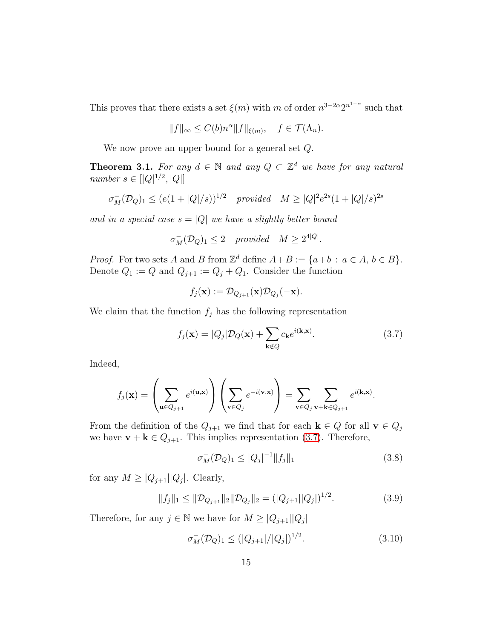This proves that there exists a set  $\xi(m)$  with m of order  $n^{3-2\alpha}2^{n^{1-\alpha}}$  such that

$$
||f||_{\infty} \le C(b)n^{\alpha}||f||_{\xi(m)}, \quad f \in \mathcal{T}(\Lambda_n).
$$

We now prove an upper bound for a general set Q.

<span id="page-14-0"></span>**Theorem 3.1.** For any  $d \in \mathbb{N}$  and any  $Q \subset \mathbb{Z}^d$  we have for any natural *number*  $s \in [Q]^{1/2}, |Q|]$ 

$$
\sigma_M^-(\mathcal{D}_Q)_1 \le (e(1+|Q|/s))^{1/2} \quad provided \quad M \ge |Q|^2 e^{2s} (1+|Q|/s)^{2s}
$$

*and in a special case*  $s = |Q|$  *we have a slightly better bound* 

$$
\sigma_M^-(\mathcal{D}_Q)_1 \leq 2
$$
 provided  $M \geq 2^{4|Q|}$ .

*Proof.* For two sets A and B from  $\mathbb{Z}^d$  define  $A + B := \{a+b : a \in A, b \in B\}.$ Denote  $Q_1 := Q$  and  $Q_{j+1} := Q_j + Q_1$ . Consider the function

$$
f_j(\mathbf{x}) := \mathcal{D}_{Q_{j+1}}(\mathbf{x}) \mathcal{D}_{Q_j}(-\mathbf{x}).
$$

We claim that the function  $f_j$  has the following representation

<span id="page-14-1"></span>
$$
f_j(\mathbf{x}) = |Q_j| \mathcal{D}_Q(\mathbf{x}) + \sum_{\mathbf{k} \notin Q} c_{\mathbf{k}} e^{i(\mathbf{k}, \mathbf{x})}.
$$
 (3.7)

Indeed,

$$
f_j(\mathbf{x}) = \left(\sum_{\mathbf{u} \in Q_{j+1}} e^{i(\mathbf{u}, \mathbf{x})}\right) \left(\sum_{\mathbf{v} \in Q_j} e^{-i(\mathbf{v}, \mathbf{x})}\right) = \sum_{\mathbf{v} \in Q_j} \sum_{\mathbf{v} + \mathbf{k} \in Q_{j+1}} e^{i(\mathbf{k}, \mathbf{x})}.
$$

From the definition of the  $Q_{j+1}$  we find that for each  $\mathbf{k} \in Q$  for all  $\mathbf{v} \in Q_j$ we have  $\mathbf{v} + \mathbf{k} \in Q_{j+1}$ . This implies representation [\(3.7\)](#page-14-1). Therefore,

$$
\sigma_M^-(\mathcal{D}_Q)_1 \le |Q_j|^{-1} \|f_j\|_1 \tag{3.8}
$$

for any  $M \geq |Q_{j+1}| |Q_j|$ . Clearly,

$$
||f_j||_1 \le ||\mathcal{D}_{Q_{j+1}}||_2 ||\mathcal{D}_{Q_j}||_2 = (|Q_{j+1}||Q_j|)^{1/2}.
$$
\n(3.9)

Therefore, for any  $j \in \mathbb{N}$  we have for  $M \geq |Q_{j+1}| |Q_j|$ 

<span id="page-14-2"></span>
$$
\sigma_M^-(\mathcal{D}_Q)_1 \le (|Q_{j+1}|/|Q_j|)^{1/2}.\tag{3.10}
$$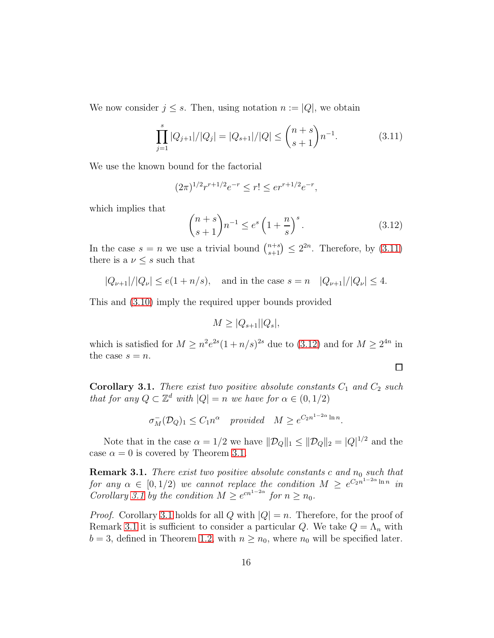We now consider  $j \leq s$ . Then, using notation  $n := |Q|$ , we obtain

<span id="page-15-2"></span>
$$
\prod_{j=1}^{s} |Q_{j+1}|/|Q_j| = |Q_{s+1}|/|Q| \le \binom{n+s}{s+1} n^{-1}.\tag{3.11}
$$

We use the known bound for the factorial

$$
(2\pi)^{1/2}r^{r+1/2}e^{-r} \le r! \le er^{r+1/2}e^{-r},
$$

which implies that

<span id="page-15-3"></span>
$$
\binom{n+s}{s+1}n^{-1} \le e^s \left(1 + \frac{n}{s}\right)^s. \tag{3.12}
$$

 $\Box$ 

In the case  $s = n$  we use a trivial bound  $\binom{n+s}{s+1} \leq 2^{2n}$ . Therefore, by  $(3.11)$ there is a  $\nu \leq s$  such that

$$
|Q_{\nu+1}|/|Q_{\nu}| \le e(1+n/s)
$$
, and in the case  $s = n$   $|Q_{\nu+1}|/|Q_{\nu}| \le 4$ .

This and [\(3.10\)](#page-14-2) imply the required upper bounds provided

$$
M \geq |Q_{s+1}| |Q_s|,
$$

which is satisfied for  $M \geq n^2 e^{2s} (1 + n/s)^{2s}$  due to  $(3.12)$  and for  $M \geq 2^{4n}$  in the case  $s = n$ .

<span id="page-15-0"></span>**Corollary 3.1.** *There exist two positive absolute constants*  $C_1$  *and*  $C_2$  *such that for any*  $Q \subset \mathbb{Z}^d$  *with*  $|Q| = n$  *we have for*  $\alpha \in (0, 1/2)$ 

$$
\sigma_M^-(\mathcal{D}_Q)_1 \le C_1 n^{\alpha} \quad provided \quad M \ge e^{C_2 n^{1-2\alpha} \ln n}.
$$

Note that in the case  $\alpha = 1/2$  we have  $||\mathcal{D}_Q||_1 \le ||\mathcal{D}_Q||_2 = |Q|^{1/2}$  and the case  $\alpha = 0$  is covered by Theorem [3.1.](#page-14-0)

<span id="page-15-1"></span>**Remark 3.1.** *There exist two positive absolute constants* c and  $n_0$  such that *for any*  $\alpha \in [0, 1/2)$  *we cannot replace the condition*  $M \geq e^{C_2 n^{1-2\alpha} \ln n}$  *in Corollary* [3.1](#page-15-0) by the condition  $M \geq e^{cn^{1-2\alpha}}$  for  $n \geq n_0$ .

*Proof.* Corollary [3.1](#page-15-0) holds for all Q with  $|Q| = n$ . Therefore, for the proof of Remark [3.1](#page-15-1) it is sufficient to consider a particular Q. We take  $Q = \Lambda_n$  with  $b = 3$ , defined in Theorem [1.2,](#page-2-0) with  $n \ge n_0$ , where  $n_0$  will be specified later.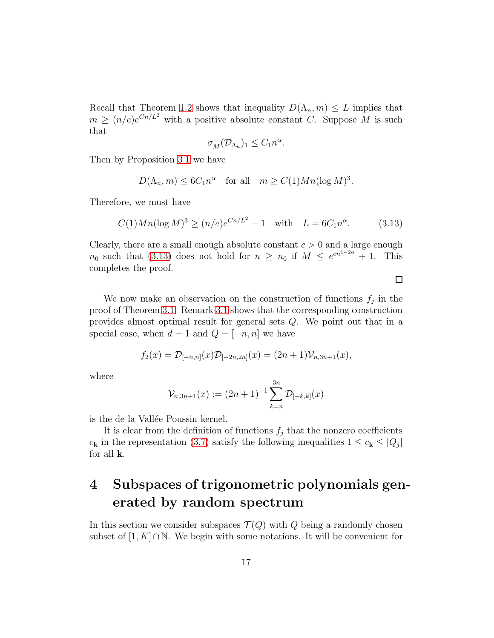Recall that Theorem [1.2](#page-2-0) shows that inequality  $D(\Lambda_n, m) \leq L$  implies that  $m \ge (n/e)e^{Cn/L^2}$  with a positive absolute constant C. Suppose M is such that

$$
\sigma_M^-(\mathcal{D}_{\Lambda_n})_1 \leq C_1 n^{\alpha}.
$$

Then by Proposition [3.1](#page-12-3) we have

$$
D(\Lambda_n, m) \le 6C_1 n^{\alpha} \quad \text{for all} \quad m \ge C(1)Mn(\log M)^3.
$$

Therefore, we must have

<span id="page-16-1"></span>
$$
C(1)Mn(\log M)^3 \ge (n/e)e^{Cn/L^2} - 1 \quad \text{with} \quad L = 6C_1n^{\alpha}.\tag{3.13}
$$

Clearly, there are a small enough absolute constant  $c > 0$  and a large enough  $n_0$  such that [\(3.13\)](#page-16-1) does not hold for  $n \geq n_0$  if  $M \leq e^{cn^{1-2\alpha}} + 1$ . This completes the proof.

We now make an observation on the construction of functions  $f_j$  in the proof of Theorem [3.1.](#page-14-0) Remark [3.1](#page-15-1) shows that the corresponding construction provides almost optimal result for general sets Q. We point out that in a special case, when  $d = 1$  and  $Q = [-n, n]$  we have

$$
f_2(x) = \mathcal{D}_{[-n,n]}(x)\mathcal{D}_{[-2n,2n]}(x) = (2n+1)\mathcal{V}_{n,3n+1}(x),
$$

where

$$
\mathcal{V}_{n,3n+1}(x) := (2n+1)^{-1} \sum_{k=n}^{3n} \mathcal{D}_{[-k,k]}(x)
$$

is the de la Vallée Poussin kernel.

It is clear from the definition of functions  $f_j$  that the nonzero coefficients  $c_{\mathbf{k}}$  in the representation [\(3.7\)](#page-14-1) satisfy the following inequalities  $1 \leq c_{\mathbf{k}} \leq |Q_j|$ for all k.

# <span id="page-16-0"></span>4 Subspaces of trigonometric polynomials generated by random spectrum

In this section we consider subspaces  $\mathcal{T}(Q)$  with Q being a randomly chosen subset of [1, K]∩N. We begin with some notations. It will be convenient for

 $\Box$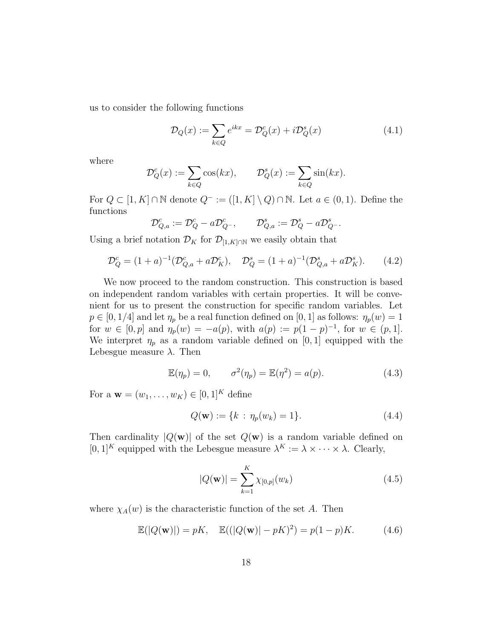us to consider the following functions

$$
\mathcal{D}_Q(x) := \sum_{k \in Q} e^{ikx} = \mathcal{D}_Q^c(x) + i \mathcal{D}_Q^s(x) \tag{4.1}
$$

where

$$
\mathcal{D}_Q^c(x) := \sum_{k \in Q} \cos(kx), \qquad \mathcal{D}_Q^s(x) := \sum_{k \in Q} \sin(kx).
$$

For  $Q \subset [1, K] \cap \mathbb{N}$  denote  $Q^- := ([1, K] \setminus Q) \cap \mathbb{N}$ . Let  $a \in (0, 1)$ . Define the functions

$$
\mathcal{D}_{Q,a}^c := \mathcal{D}_Q^c - a \mathcal{D}_{Q^-}^c, \qquad \mathcal{D}_{Q,a}^s := \mathcal{D}_Q^s - a \mathcal{D}_{Q^-}^s.
$$

Using a brief notation  $\mathcal{D}_K$  for  $\mathcal{D}_{[1,K]\cap\mathbb{N}}$  we easily obtain that

<span id="page-17-1"></span>
$$
\mathcal{D}_Q^c = (1+a)^{-1}(\mathcal{D}_{Q,a}^c + a\mathcal{D}_K^c), \quad \mathcal{D}_Q^s = (1+a)^{-1}(\mathcal{D}_{Q,a}^s + a\mathcal{D}_K^s).
$$
(4.2)

We now proceed to the random construction. This construction is based on independent random variables with certain properties. It will be convenient for us to present the construction for specific random variables. Let  $p \in [0, 1/4]$  and let  $\eta_p$  be a real function defined on  $[0, 1]$  as follows:  $\eta_p(w) = 1$ for  $w \in [0, p]$  and  $\eta_p(w) = -a(p)$ , with  $a(p) := p(1-p)^{-1}$ , for  $w \in (p, 1]$ . We interpret  $\eta_p$  as a random variable defined on [0, 1] equipped with the Lebesgue measure  $\lambda$ . Then

$$
\mathbb{E}(\eta_p) = 0, \qquad \sigma^2(\eta_p) = \mathbb{E}(\eta^2) = a(p). \tag{4.3}
$$

For a  $w = (w_1, ..., w_K) \in [0, 1]^K$  define

$$
Q(\mathbf{w}) := \{k : \eta_p(w_k) = 1\}.
$$
 (4.4)

Then cardinality  $|Q(\mathbf{w})|$  of the set  $Q(\mathbf{w})$  is a random variable defined on  $[0,1]^K$  equipped with the Lebesgue measure  $\lambda^K := \lambda \times \cdots \times \lambda$ . Clearly,

$$
|Q(\mathbf{w})| = \sum_{k=1}^{K} \chi_{[0,p]}(w_k)
$$
 (4.5)

where  $\chi_A(w)$  is the characteristic function of the set A. Then

<span id="page-17-0"></span>
$$
\mathbb{E}(|Q(\mathbf{w})|) = pK, \quad \mathbb{E}((|Q(\mathbf{w})| - pK)^2) = p(1 - p)K.
$$
 (4.6)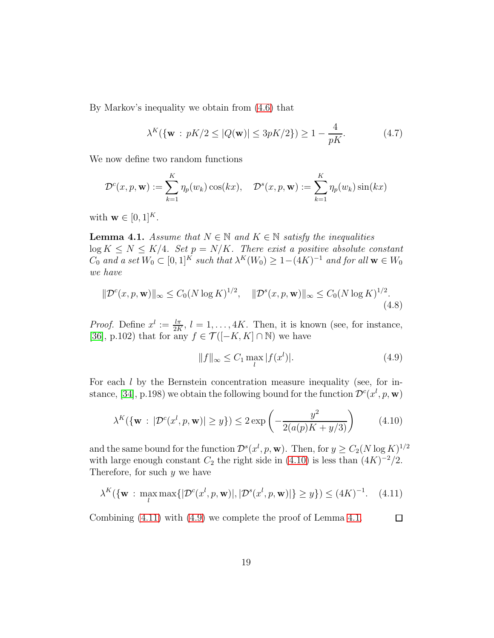By Markov's inequality we obtain from [\(4.6\)](#page-17-0) that

<span id="page-18-4"></span>
$$
\lambda^K(\{\mathbf{w} : pK/2 \le |Q(\mathbf{w})| \le 3pK/2\}) \ge 1 - \frac{4}{pK}.\tag{4.7}
$$

We now define two random functions

$$
\mathcal{D}^c(x, p, \mathbf{w}) := \sum_{k=1}^K \eta_p(w_k) \cos(kx), \quad \mathcal{D}^s(x, p, \mathbf{w}) := \sum_{k=1}^K \eta_p(w_k) \sin(kx)
$$

with  $\mathbf{w} \in [0, 1]^K$ .

<span id="page-18-3"></span>**Lemma 4.1.** *Assume that*  $N \in \mathbb{N}$  *and*  $K \in \mathbb{N}$  *satisfy the inequalities*  $\log K \leq N \leq K/4$ *. Set*  $p = N/K$ *. There exist a positive absolute constant*  $C_0$  and a set  $W_0 \subset [0,1]^K$  such that  $\lambda^K(W_0) \geq 1-(4K)^{-1}$  and for all  $\mathbf{w} \in W_0$ *we have*

<span id="page-18-5"></span>
$$
\|\mathcal{D}^{c}(x, p, \mathbf{w})\|_{\infty} \le C_{0}(N \log K)^{1/2}, \quad \|\mathcal{D}^{s}(x, p, \mathbf{w})\|_{\infty} \le C_{0}(N \log K)^{1/2}.
$$
\n(4.8)

*Proof.* Define  $x^l := \frac{l\pi}{2K}$ ,  $l = 1, ..., 4K$ . Then, it is known (see, for instance, [\[36\]](#page-35-2), p.102) that for any  $f \in \mathcal{T}([-K, K] \cap \mathbb{N})$  we have

<span id="page-18-2"></span>
$$
||f||_{\infty} \le C_1 \max_{l} |f(x^l)|. \tag{4.9}
$$

For each l by the Bernstein concentration measure inequality (see, for in-stance, [\[34\]](#page-35-4), p.198) we obtain the following bound for the function  $\mathcal{D}^{c}(x^{l}, p, \mathbf{w})$ 

<span id="page-18-0"></span>
$$
\lambda^K(\{\mathbf{w} : |\mathcal{D}^c(x^l, p, \mathbf{w})| \ge y\}) \le 2 \exp\left(-\frac{y^2}{2(a(p)K + y/3)}\right) \tag{4.10}
$$

and the same bound for the function  $\mathcal{D}^s(x^l, p, \mathbf{w})$ . Then, for  $y \geq C_2(N \log K)^{1/2}$ with large enough constant  $C_2$  the right side in [\(4.10\)](#page-18-0) is less than  $(4K)^{-2}/2$ . Therefore, for such  $y$  we have

<span id="page-18-1"></span>
$$
\lambda^K(\{\mathbf{w} : \max_{l} \max\{|\mathcal{D}^c(x^l, p, \mathbf{w})|, |\mathcal{D}^s(x^l, p, \mathbf{w})|\} \ge y\}) \le (4K)^{-1}.
$$
 (4.11)

Combining [\(4.11\)](#page-18-1) with [\(4.9\)](#page-18-2) we complete the proof of Lemma [4.1.](#page-18-3)  $\Box$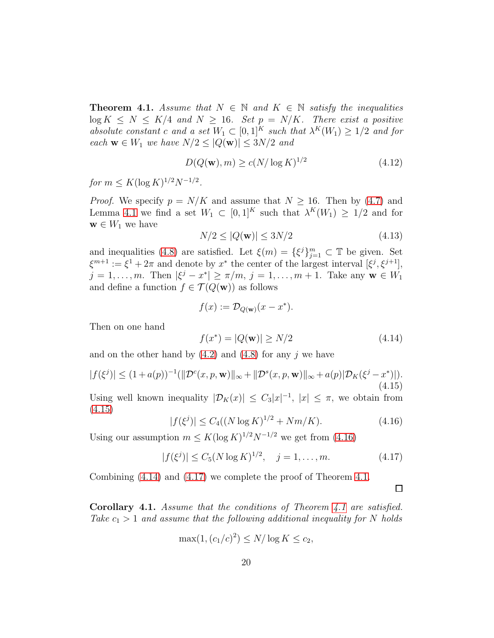<span id="page-19-5"></span>**Theorem 4.1.** *Assume that*  $N \in \mathbb{N}$  *and*  $K \in \mathbb{N}$  *satisfy the inequalities*  $\log K \leq N \leq K/4$  and  $N \geq 16$ *. Set*  $p = N/K$ *. There exist a positive* absolute constant c and a set  $W_1 \subset [0,1]^K$  such that  $\lambda^K(W_1) \geq 1/2$  and for *each*  $\mathbf{w} \in W_1$  *we have*  $N/2 \leq |Q(\mathbf{w})| \leq 3N/2$  *and* 

<span id="page-19-6"></span>
$$
D(Q(\mathbf{w}), m) \ge c(N/\log K)^{1/2}
$$
\n(4.12)

 $for\ m \leq K(\log K)^{1/2}N^{-1/2}.$ 

*Proof.* We specify  $p = N/K$  and assume that  $N \ge 16$ . Then by [\(4.7\)](#page-18-4) and Lemma [4.1](#page-18-3) we find a set  $W_1 \subset [0,1]^K$  such that  $\lambda^K(W_1) \geq 1/2$  and for  $\mathbf{w} \in W_1$  we have

$$
N/2 \le |Q(\mathbf{w})| \le 3N/2 \tag{4.13}
$$

and inequalities [\(4.8\)](#page-18-5) are satisfied. Let  $\xi(m) = {\xi^{j}}_{j=1}^{m} \subset \mathbb{T}$  be given. Set  $\xi^{m+1} := \xi^1 + 2\pi$  and denote by  $x^*$  the center of the largest interval  $[\xi^j, \xi^{j+1}],$  $j = 1, ..., m$ . Then  $|\xi^{j} - x^{*}| \ge \pi/m$ ,  $j = 1, ..., m + 1$ . Take any  $w \in W_1$ and define a function  $f \in \mathcal{T}(Q(\mathbf{w}))$  as follows

$$
f(x) := \mathcal{D}_{Q(\mathbf{w})}(x - x^*).
$$

Then on one hand

<span id="page-19-3"></span>
$$
f(x^*) = |Q(\mathbf{w})| \ge N/2 \tag{4.14}
$$

and on the other hand by  $(4.2)$  and  $(4.8)$  for any j we have

<span id="page-19-1"></span>
$$
|f(\xi^j)| \le (1 + a(p))^{-1} (||\mathcal{D}^c(x, p, \mathbf{w})||_{\infty} + ||\mathcal{D}^s(x, p, \mathbf{w})||_{\infty} + a(p)|\mathcal{D}_K(\xi^j - x^*)|).
$$
\n(4.15)

Using well known inequality  $|\mathcal{D}_K(x)| \leq C_3 |x|^{-1}$ ,  $|x| \leq \pi$ , we obtain from [\(4.15\)](#page-19-1)

<span id="page-19-2"></span>
$$
|f(\xi^j)| \le C_4((N \log K)^{1/2} + Nm/K). \tag{4.16}
$$

Using our assumption  $m \leq K(\log K)^{1/2} N^{-1/2}$  we get from [\(4.16\)](#page-19-2)

<span id="page-19-4"></span>
$$
|f(\xi^j)| \le C_5 (N \log K)^{1/2}, \quad j = 1, \dots, m. \tag{4.17}
$$

Combining [\(4.14\)](#page-19-3) and [\(4.17\)](#page-19-4) we complete the proof of Theorem [4.1.](#page-19-5)

 $\Box$ 

<span id="page-19-0"></span>Corollary 4.1. *Assume that the conditions of Theorem [4.1](#page-19-5) are satisfied. Take*  $c_1 > 1$  *and assume that the following additional inequality for* N *holds* 

$$
\max(1, (c_1/c)^2) \le N/\log K \le c_2,
$$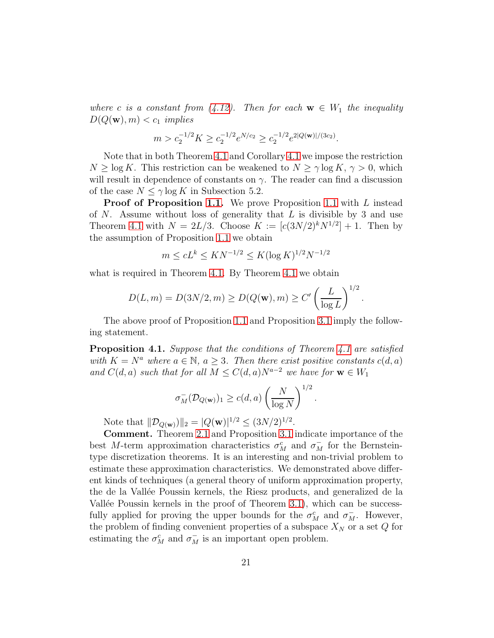*where* c *is a constant from* [\(4.12\)](#page-19-6). Then for each  $w \in W_1$  the inequality  $D(Q(\mathbf{w}), m) < c_1$  *implies* 

$$
m > c_2^{-1/2} K \ge c_2^{-1/2} e^{N/c_2} \ge c_2^{-1/2} e^{2|Q(\mathbf{w})|/(3c_2)}
$$
.

Note that in both Theorem [4.1](#page-19-5) and Corollary [4.1](#page-19-0) we impose the restriction  $N \ge \log K$ . This restriction can be weakened to  $N \ge \gamma \log K$ ,  $\gamma > 0$ , which will result in dependence of constants on  $\gamma$ . The reader can find a discussion of the case  $N \leq \gamma \log K$  in Subsection 5.2.

**Proof of Proposition [1.1.](#page-3-0)** We prove Proposition [1.1](#page-3-0) with L instead of  $N$ . Assume without loss of generality that  $L$  is divisible by 3 and use Theorem [4.1](#page-19-5) with  $N = 2L/3$ . Choose  $K := [c(3N/2)^k N^{1/2}] + 1$ . Then by the assumption of Proposition [1.1](#page-3-0) we obtain

$$
m \le cL^k \le KN^{-1/2} \le K(\log K)^{1/2}N^{-1/2}
$$

what is required in Theorem [4.1.](#page-19-5) By Theorem [4.1](#page-19-5) we obtain

$$
D(L, m) = D(3N/2, m) \ge D(Q(\mathbf{w}), m) \ge C' \left(\frac{L}{\log L}\right)^{1/2}.
$$

The above proof of Proposition [1.1](#page-3-0) and Proposition [3.1](#page-12-3) imply the following statement.

Proposition 4.1. *Suppose that the conditions of Theorem [4.1](#page-19-5) are satisfied with*  $K = N^a$  *where*  $a \in \mathbb{N}$ ,  $a > 3$ *. Then there exist positive constants*  $c(d, a)$ *and*  $C(d, a)$  *such that for all*  $M \leq C(d, a)N^{a-2}$  *we have for*  $\mathbf{w} \in W_1$ 

$$
\sigma_M^-(\mathcal{D}_{Q(\mathbf{w})})_1 \ge c(d,a) \left(\frac{N}{\log N}\right)^{1/2}.
$$

Note that  $||\mathcal{D}_{Q(\mathbf{w})}||_2 = |Q(\mathbf{w})|^{1/2} \leq (3N/2)^{1/2}$ .

Comment. Theorem [2.1](#page-7-0) and Proposition [3.1](#page-12-3) indicate importance of the best M-term approximation characteristics  $\sigma_M^c$  and  $\sigma_M^-$  for the Bernsteintype discretization theorems. It is an interesting and non-trivial problem to estimate these approximation characteristics. We demonstrated above different kinds of techniques (a general theory of uniform approximation property, the de la Vallée Poussin kernels, the Riesz products, and generalized de la Vallée Poussin kernels in the proof of Theorem [3.1\)](#page-14-0), which can be successfully applied for proving the upper bounds for the  $\sigma_M^c$  and  $\sigma_M^-$ . However, the problem of finding convenient properties of a subspace  $X_N$  or a set  $Q$  for estimating the  $\sigma_M^c$  and  $\sigma_M^-$  is an important open problem.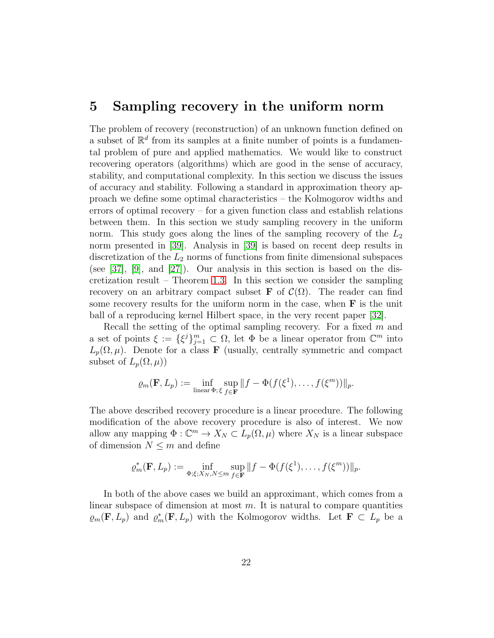#### <span id="page-21-0"></span>5 Sampling recovery in the uniform norm

The problem of recovery (reconstruction) of an unknown function defined on a subset of  $\mathbb{R}^d$  from its samples at a finite number of points is a fundamental problem of pure and applied mathematics. We would like to construct recovering operators (algorithms) which are good in the sense of accuracy, stability, and computational complexity. In this section we discuss the issues of accuracy and stability. Following a standard in approximation theory approach we define some optimal characteristics – the Kolmogorov widths and errors of optimal recovery – for a given function class and establish relations between them. In this section we study sampling recovery in the uniform norm. This study goes along the lines of the sampling recovery of the  $L_2$ norm presented in [\[39\]](#page-36-2). Analysis in [\[39\]](#page-36-2) is based on recent deep results in discretization of the  $L_2$  norms of functions from finite dimensional subspaces (see  $[37]$ ,  $[9]$ , and  $[27]$ ). Our analysis in this section is based on the discretization result – Theorem [1.3.](#page-3-1) In this section we consider the sampling recovery on an arbitrary compact subset **F** of  $\mathcal{C}(\Omega)$ . The reader can find some recovery results for the uniform norm in the case, when  $\bf{F}$  is the unit ball of a reproducing kernel Hilbert space, in the very recent paper [\[32\]](#page-35-5).

Recall the setting of the optimal sampling recovery. For a fixed  $m$  and a set of points  $\xi := \{\xi^j\}_{j=1}^m \subset \Omega$ , let  $\Phi$  be a linear operator from  $\mathbb{C}^m$  into  $L_p(\Omega, \mu)$ . Denote for a class **F** (usually, centrally symmetric and compact subset of  $L_p(\Omega,\mu)$ 

$$
\varrho_m(\mathbf{F}, L_p) := \inf_{\text{linear } \Phi; \xi} \sup_{f \in \mathbf{F}} ||f - \Phi(f(\xi^1), \dots, f(\xi^m))||_p.
$$

The above described recovery procedure is a linear procedure. The following modification of the above recovery procedure is also of interest. We now allow any mapping  $\Phi : \mathbb{C}^m \to X_N \subset L_p(\Omega, \mu)$  where  $X_N$  is a linear subspace of dimension  $N \leq m$  and define

$$
\varrho_m^*(\mathbf{F}, L_p) := \inf_{\Phi; \xi; X_N, N \le m} \sup_{f \in \mathbf{F}} ||f - \Phi(f(\xi^1), \dots, f(\xi^m))||_p.
$$

In both of the above cases we build an approximant, which comes from a linear subspace of dimension at most  $m$ . It is natural to compare quantities  $\varrho_m(\mathbf{F}, L_p)$  and  $\varrho_m^*(\mathbf{F}, L_p)$  with the Kolmogorov widths. Let  $\mathbf{F} \subset L_p$  be a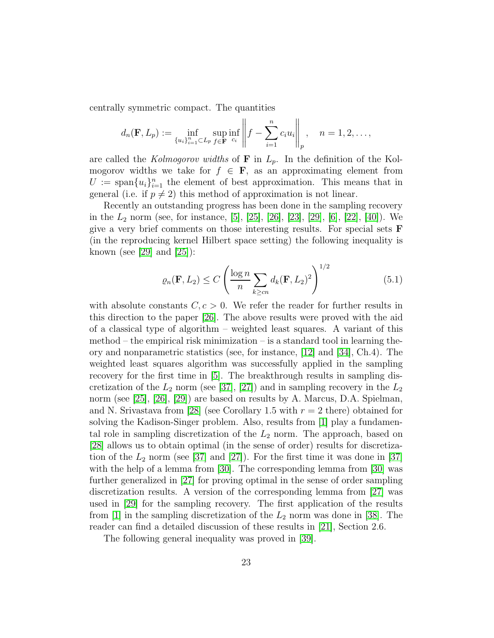centrally symmetric compact. The quantities

$$
d_n(\mathbf{F}, L_p) := \inf_{\{u_i\}_{i=1}^n \subset L_p} \sup_{f \in \mathbf{F}} \inf_{c_i} \left\| f - \sum_{i=1}^n c_i u_i \right\|_p, \quad n = 1, 2, \dots,
$$

are called the *Kolmogorov widths* of  $\bf{F}$  in  $L_p$ . In the definition of the Kolmogorov widths we take for  $f \in \mathbf{F}$ , as an approximating element from  $U := \text{span}\{u_i\}_{i=1}^n$  the element of best approximation. This means that in general (i.e. if  $p \neq 2$ ) this method of approximation is not linear.

Recently an outstanding progress has been done in the sampling recovery in the  $L_2$  norm (see, for instance, [\[5\]](#page-33-7), [\[25\]](#page-34-3), [\[26\]](#page-35-6), [\[23\]](#page-34-4), [\[29\]](#page-35-7), [\[6\]](#page-33-8), [\[22\]](#page-34-5), [\[40\]](#page-36-3)). We give a very brief comments on those interesting results. For special sets F (in the reproducing kernel Hilbert space setting) the following inequality is known (see [\[29\]](#page-35-7) and [\[25\]](#page-34-3)):

<span id="page-22-0"></span>
$$
\varrho_n(\mathbf{F}, L_2) \le C \left( \frac{\log n}{n} \sum_{k \ge cn} d_k(\mathbf{F}, L_2)^2 \right)^{1/2}
$$
(5.1)

with absolute constants  $C, c > 0$ . We refer the reader for further results in this direction to the paper [\[26\]](#page-35-6). The above results were proved with the aid of a classical type of algorithm – weighted least squares. A variant of this  $method - the empirical risk minimization - is a standard tool in learning the$ ory and nonparametric statistics (see, for instance, [\[12\]](#page-33-9) and [\[34\]](#page-35-4), Ch.4). The weighted least squares algorithm was successfully applied in the sampling recovery for the first time in [\[5\]](#page-33-7). The breakthrough results in sampling discretization of the  $L_2$  norm (see [\[37\]](#page-35-0), [\[27\]](#page-35-1)) and in sampling recovery in the  $L_2$ norm (see [\[25\]](#page-34-3), [\[26\]](#page-35-6), [\[29\]](#page-35-7)) are based on results by A. Marcus, D.A. Spielman, and N. Srivastava from [\[28\]](#page-35-8) (see Corollary 1.5 with  $r = 2$  there) obtained for solving the Kadison-Singer problem. Also, results from [\[1\]](#page-32-3) play a fundamental role in sampling discretization of the  $L_2$  norm. The approach, based on [\[28\]](#page-35-8) allows us to obtain optimal (in the sense of order) results for discretization of the  $L_2$  norm (see [\[37\]](#page-35-0) and [\[27\]](#page-35-1)). For the first time it was done in [37] with the help of a lemma from [\[30\]](#page-35-9). The corresponding lemma from [\[30\]](#page-35-9) was further generalized in [\[27\]](#page-35-1) for proving optimal in the sense of order sampling discretization results. A version of the corresponding lemma from [\[27\]](#page-35-1) was used in [\[29\]](#page-35-7) for the sampling recovery. The first application of the results from  $[1]$  in the sampling discretization of the  $L_2$  norm was done in [\[38\]](#page-36-1). The reader can find a detailed discussion of these results in [\[21\]](#page-34-0), Section 2.6.

The following general inequality was proved in [\[39\]](#page-36-2).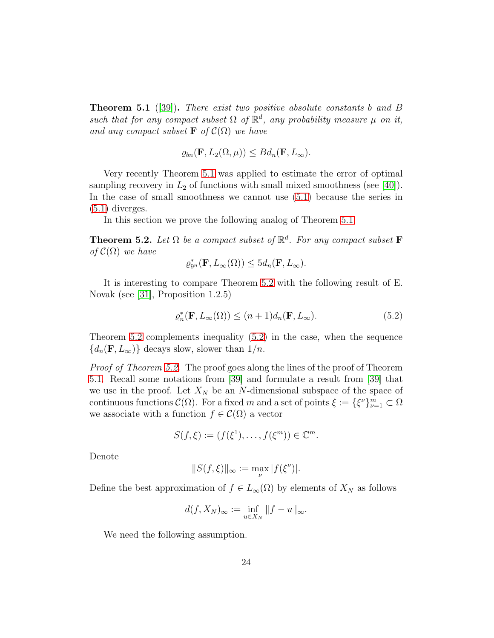<span id="page-23-1"></span>Theorem 5.1 ([\[39\]](#page-36-2)). *There exist two positive absolute constants* b *and* B *such that for any compact subset*  $\Omega$  *of*  $\mathbb{R}^d$ *, any probability measure*  $\mu$  *on it, and any compact subset*  $\mathbf{F}$  *of*  $\mathcal{C}(\Omega)$  *we have* 

$$
\varrho_{bn}(\mathbf{F}, L_2(\Omega, \mu)) \leq B d_n(\mathbf{F}, L_\infty).
$$

Very recently Theorem [5.1](#page-23-1) was applied to estimate the error of optimal sampling recovery in  $L_2$  of functions with small mixed smoothness (see [\[40\]](#page-36-3)). In the case of small smoothness we cannot use [\(5.1\)](#page-22-0) because the series in [\(5.1\)](#page-22-0) diverges.

In this section we prove the following analog of Theorem [5.1.](#page-23-1)

<span id="page-23-0"></span>**Theorem 5.2.** Let  $\Omega$  be a compact subset of  $\mathbb{R}^d$ . For any compact subset **F** *of*  $C(\Omega)$  *we have* 

$$
\varrho_{9^n}^*(\mathbf{F}, L_\infty(\Omega)) \leq 5d_n(\mathbf{F}, L_\infty).
$$

It is interesting to compare Theorem [5.2](#page-23-0) with the following result of E. Novak (see [\[31\]](#page-35-3), Proposition 1.2.5)

<span id="page-23-2"></span>
$$
\varrho_n^*(\mathbf{F}, L_\infty(\Omega)) \le (n+1)d_n(\mathbf{F}, L_\infty). \tag{5.2}
$$

Theorem [5.2](#page-23-0) complements inequality [\(5.2\)](#page-23-2) in the case, when the sequence  ${d_n(\mathbf{F}, L_\infty)}$  decays slow, slower than  $1/n$ .

*Proof of Theorem [5.2.](#page-23-0)* The proof goes along the lines of the proof of Theorem [5.1.](#page-23-1) Recall some notations from [\[39\]](#page-36-2) and formulate a result from [\[39\]](#page-36-2) that we use in the proof. Let  $X_N$  be an N-dimensional subspace of the space of continuous functions  $\mathcal{C}(\Omega)$ . For a fixed m and a set of points  $\xi := \{\xi^{\nu}\}_{\nu=1}^m \subset \Omega$ we associate with a function  $f \in \mathcal{C}(\Omega)$  a vector

$$
S(f,\xi) := (f(\xi^1),\ldots,f(\xi^m)) \in \mathbb{C}^m.
$$

Denote

$$
||S(f,\xi)||_{\infty}:=\max_{\nu}|f(\xi^{\nu})|.
$$

Define the best approximation of  $f \in L_{\infty}(\Omega)$  by elements of  $X_N$  as follows

$$
d(f, X_N)_{\infty} := \inf_{u \in X_N} ||f - u||_{\infty}.
$$

We need the following assumption.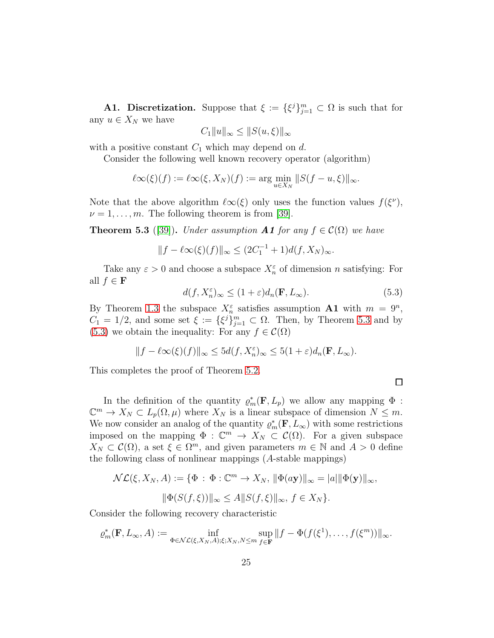**A1. Discretization.** Suppose that  $\xi := {\xi^{j}}_{j=1}^{m} \subset \Omega$  is such that for any  $u \in X_N$  we have

$$
C_1||u||_{\infty} \le ||S(u,\xi)||_{\infty}
$$

with a positive constant  $C_1$  which may depend on d.

Consider the following well known recovery operator (algorithm)

$$
\ell\infty(\xi)(f) := \ell\infty(\xi, X_N)(f) := \arg\min_{u \in X_N} ||S(f - u, \xi)||_{\infty}.
$$

Note that the above algorithm  $\ell\infty(\xi)$  only uses the function values  $f(\xi^{\nu})$ ,  $\nu = 1, \ldots, m$ . The following theorem is from [\[39\]](#page-36-2).

<span id="page-24-0"></span>**Theorem 5.3** ([\[39\]](#page-36-2)). *Under assumption* **A1** *for any*  $f \in \mathcal{C}(\Omega)$  *we have* 

$$
||f - \ell \infty(\xi)(f)||_{\infty} \le (2C_1^{-1} + 1)d(f, X_N)_{\infty}.
$$

Take any  $\varepsilon > 0$  and choose a subspace  $X_n^{\varepsilon}$  of dimension *n* satisfying: For all  $f \in \mathbf{F}$ 

<span id="page-24-1"></span>
$$
d(f, X_n^{\varepsilon})_{\infty} \le (1 + \varepsilon) d_n(\mathbf{F}, L_{\infty}).
$$
\n(5.3)

By Theorem [1.3](#page-3-1) the subspace  $X_n^{\varepsilon}$  satisfies assumption **A1** with  $m = 9^n$ ,  $C_1 = 1/2$ , and some set  $\xi := {\xi^j}_{j=1}^m \subset \Omega$ . Then, by Theorem [5.3](#page-24-0) and by [\(5.3\)](#page-24-1) we obtain the inequality: For any  $f \in \mathcal{C}(\Omega)$ 

$$
||f - \ell \infty(\xi)(f)||_{\infty} \le 5d(f, X_n^{\varepsilon})_{\infty} \le 5(1+\varepsilon)d_n(\mathbf{F}, L_{\infty}).
$$

This completes the proof of Theorem [5.2.](#page-23-0)

 $\Box$ 

In the definition of the quantity  $\rho_m^*(\mathbf{F}, L_p)$  we allow any mapping  $\Phi$ :  $\mathbb{C}^m \to X_N \subset L_p(\Omega, \mu)$  where  $X_N$  is a linear subspace of dimension  $N \leq m$ . We now consider an analog of the quantity  $\varrho_m^*(\mathbf{F}, L_\infty)$  with some restrictions imposed on the mapping  $\Phi : \mathbb{C}^m \to X_N \subset \mathcal{C}(\Omega)$ . For a given subspace  $X_N \subset \mathcal{C}(\Omega)$ , a set  $\xi \in \Omega^m$ , and given parameters  $m \in \mathbb{N}$  and  $A > 0$  define the following class of nonlinear mappings (A-stable mappings)

$$
\mathcal{NL}(\xi, X_N, A) := \{ \Phi : \Phi : \mathbb{C}^m \to X_N, \, \|\Phi(ay)\|_{\infty} = |a|\|\Phi(\mathbf{y})\|_{\infty},
$$

$$
\|\Phi(S(f, \xi))\|_{\infty} \le A\|S(f, \xi)\|_{\infty}, \, f \in X_N \}.
$$

Consider the following recovery characteristic

$$
\varrho_m^*(\mathbf{F}, L_\infty, A) := \inf_{\Phi \in \mathcal{NL}(\xi, X_N, A); \xi; X_N, N \le m} \sup_{f \in \mathbf{F}} ||f - \Phi(f(\xi^1), \dots, f(\xi^m))||_{\infty}.
$$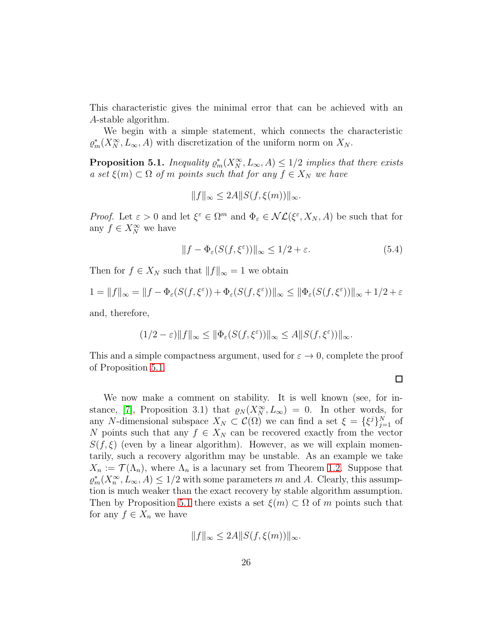This characteristic gives the minimal error that can be achieved with an A-stable algorithm.

We begin with a simple statement, which connects the characteristic  $\varrho_m^*(X_N^{\infty}, L_{\infty}, A)$  with discretization of the uniform norm on  $X_N$ .

<span id="page-25-0"></span>**Proposition 5.1.** *Inequality*  $\varrho_m^*(X_N^{\infty}, L_{\infty}, A) \leq 1/2$  *implies that there exists*  $a \text{ set } \xi(m) \subset \Omega \text{ of } m \text{ points such that for any } f \in X_N \text{ we have}$ 

$$
||f||_{\infty} \le 2A||S(f, \xi(m))||_{\infty}.
$$

*Proof.* Let  $\varepsilon > 0$  and let  $\xi^{\varepsilon} \in \Omega^m$  and  $\Phi_{\varepsilon} \in \mathcal{NL}(\xi^{\varepsilon}, X_N, A)$  be such that for any  $f \in X_N^{\infty}$  we have

$$
||f - \Phi_{\varepsilon}(S(f, \xi^{\varepsilon}))||_{\infty} \le 1/2 + \varepsilon.
$$
 (5.4)

Then for  $f \in X_N$  such that  $||f||_{\infty} = 1$  we obtain

$$
1 = ||f||_{\infty} = ||f - \Phi_{\varepsilon}(S(f, \xi^{\varepsilon})) + \Phi_{\varepsilon}(S(f, \xi^{\varepsilon}))||_{\infty} \le ||\Phi_{\varepsilon}(S(f, \xi^{\varepsilon}))||_{\infty} + 1/2 + \varepsilon
$$

and, therefore,

$$
(1/2 - \varepsilon) \|f\|_{\infty} \le \|\Phi_{\varepsilon}(S(f, \xi^{\varepsilon}))\|_{\infty} \le A \|S(f, \xi^{\varepsilon}))\|_{\infty}.
$$

This and a simple compactness argument, used for  $\varepsilon \to 0$ , complete the proof of Proposition [5.1.](#page-25-0)

 $\Box$ 

We now make a comment on stability. It is well known (see, for in-stance, [\[7\]](#page-33-0), Proposition 3.1) that  $\varrho_N(X_N^{\infty}, L_{\infty}) = 0$ . In other words, for any N-dimensional subspace  $X_N \subset \mathcal{C}(\Omega)$  we can find a set  $\xi = {\{\xi^j\}}_{j=1}^N$  of N points such that any  $f \in X_N$  can be recovered exactly from the vector  $S(f,\xi)$  (even by a linear algorithm). However, as we will explain momentarily, such a recovery algorithm may be unstable. As an example we take  $X_n := \mathcal{T}(\Lambda_n)$ , where  $\Lambda_n$  is a lacunary set from Theorem [1.2.](#page-2-0) Suppose that  $\varrho_m^*(X_n^{\infty}, L_{\infty}, A) \leq 1/2$  with some parameters m and A. Clearly, this assumption is much weaker than the exact recovery by stable algorithm assumption. Then by Proposition [5.1](#page-25-0) there exists a set  $\xi(m) \subset \Omega$  of m points such that for any  $f \in X_n$  we have

$$
||f||_{\infty} \le 2A||S(f, \xi(m))||_{\infty}.
$$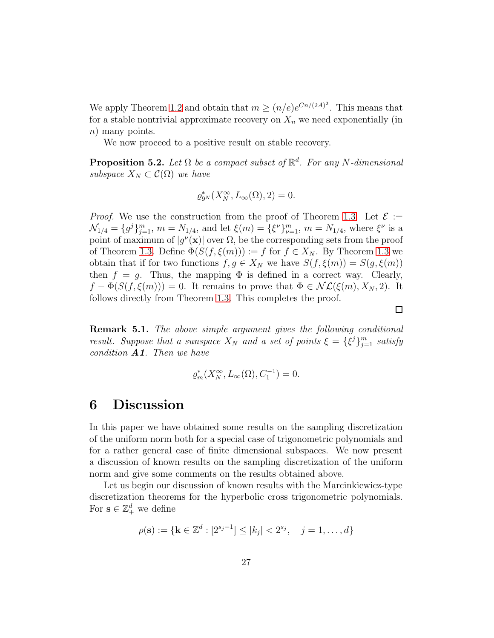We apply Theorem [1.2](#page-2-0) and obtain that  $m \ge (n/e)e^{Cn/(2A)^2}$ . This means that for a stable nontrivial approximate recovery on  $X_n$  we need exponentially (in n) many points.

We now proceed to a positive result on stable recovery.

Proposition 5.2. *Let* Ω *be a compact subset of* R d *. For any* N*-dimensional subspace*  $X_N \subset \mathcal{C}(\Omega)$  *we have* 

$$
\varrho_{9^N}^*(X_N^{\infty}, L_{\infty}(\Omega), 2) = 0.
$$

*Proof.* We use the construction from the proof of Theorem [1.3.](#page-3-1) Let  $\mathcal{E} :=$  $\mathcal{N}_{1/4} = \{g^j\}_{j=1}^m$ ,  $m = N_{1/4}$ , and let  $\xi(m) = \{\xi^{\nu}\}_{\nu=1}^m$ ,  $m = N_{1/4}$ , where  $\xi^{\nu}$  is a point of maximum of  $|g''(\mathbf{x})|$  over  $\Omega$ , be the corresponding sets from the proof of Theorem [1.3.](#page-3-1) Define  $\Phi(S(f, \xi(m))) := f$  for  $f \in X_N$ . By Theorem [1.3](#page-3-1) we obtain that if for two functions  $f, g \in X_N$  we have  $S(f, \xi(m)) = S(g, \xi(m))$ then  $f = g$ . Thus, the mapping  $\Phi$  is defined in a correct way. Clearly,  $f - \Phi(S(f, \xi(m))) = 0$ . It remains to prove that  $\Phi \in \mathcal{NL}(\xi(m), X_N, 2)$ . It follows directly from Theorem [1.3.](#page-3-1) This completes the proof.

Remark 5.1. *The above simple argument gives the following conditional result. Suppose that a sunspace*  $X_N$  *and a set of points*  $\xi = {\xi^j}_{j=1}^m$  *satisfy condition* A1*. Then we have*

$$
\varrho_m^*(X_N^{\infty}, L_{\infty}(\Omega), C_1^{-1}) = 0.
$$

#### <span id="page-26-0"></span>6 Discussion

In this paper we have obtained some results on the sampling discretization of the uniform norm both for a special case of trigonometric polynomials and for a rather general case of finite dimensional subspaces. We now present a discussion of known results on the sampling discretization of the uniform norm and give some comments on the results obtained above.

Let us begin our discussion of known results with the Marcinkiewicz-type discretization theorems for the hyperbolic cross trigonometric polynomials. For  $\mathbf{s} \in \mathbb{Z}_+^d$  we define

$$
\rho(\mathbf{s}) := \{ \mathbf{k} \in \mathbb{Z}^d : [2^{s_j - 1}] \le |k_j| < 2^{s_j}, \quad j = 1, \dots, d \}
$$

 $\Box$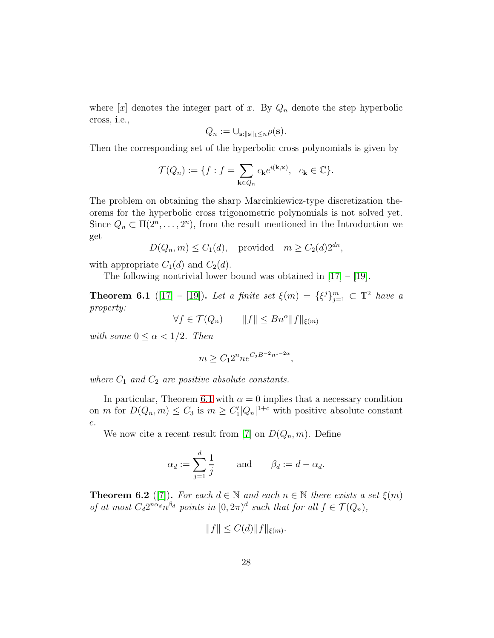where  $[x]$  denotes the integer part of x. By  $Q_n$  denote the step hyperbolic cross, i.e.,

$$
Q_n := \cup_{\mathbf{s}: \|\mathbf{s}\|_1 \leq n} \rho(\mathbf{s}).
$$

Then the corresponding set of the hyperbolic cross polynomials is given by

$$
\mathcal{T}(Q_n) := \{ f : f = \sum_{\mathbf{k} \in Q_n} c_{\mathbf{k}} e^{i(\mathbf{k}, \mathbf{x})}, \ c_{\mathbf{k}} \in \mathbb{C} \}.
$$

The problem on obtaining the sharp Marcinkiewicz-type discretization theorems for the hyperbolic cross trigonometric polynomials is not solved yet. Since  $Q_n \subset \Pi(2^n, \ldots, 2^n)$ , from the result mentioned in the Introduction we get

$$
D(Q_n, m) \le C_1(d)
$$
, provided  $m \ge C_2(d)2^{dn}$ ,

with appropriate  $C_1(d)$  and  $C_2(d)$ .

The following nontrivial lower bound was obtained in  $[17] - [19]$  $[17] - [19]$ .

<span id="page-27-0"></span>**Theorem 6.1** ([\[17\]](#page-34-6) – [\[19\]](#page-34-7)). Let a finite set  $\xi(m) = {\xi^{j}}_{j=1}^{m} \subset \mathbb{T}^{2}$  have a *property:*

$$
\forall f \in \mathcal{T}(Q_n) \qquad \|f\| \leq Bn^{\alpha} \|f\|_{\xi(m)}
$$

*with some*  $0 \leq \alpha < 1/2$ *. Then* 

$$
m\geq C_12^n ne^{C_2B^{-2}n^{1-2\alpha}}
$$

,

where  $C_1$  and  $C_2$  are positive absolute constants.

In particular, Theorem [6.1](#page-27-0) with  $\alpha = 0$  implies that a necessary condition on *m* for  $D(Q_n, m) \leq C_3$  is  $m \geq C_1^{\prime} |Q_n|^{1+c}$  with positive absolute constant c.

We now cite a recent result from [\[7\]](#page-33-0) on  $D(Q_n, m)$ . Define

$$
\alpha_d := \sum_{j=1}^d \frac{1}{j} \quad \text{and} \quad \beta_d := d - \alpha_d.
$$

**Theorem 6.2** ([\[7\]](#page-33-0)). *For each*  $d \in \mathbb{N}$  *and each*  $n \in \mathbb{N}$  *there exists a set*  $\xi(m)$ *of at most*  $C_d 2^{n\alpha_d} n^{\beta_d}$  points in  $[0, 2\pi)^d$  such that for all  $f \in \mathcal{T}(Q_n)$ ,

$$
||f|| \le C(d) ||f||_{\xi(m)}.
$$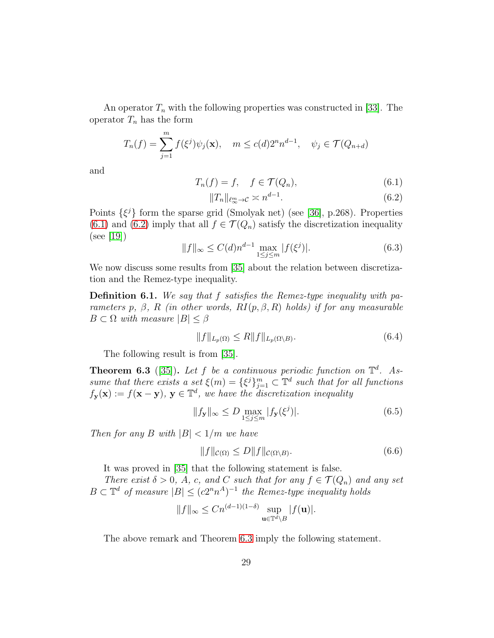An operator  $T_n$  with the following properties was constructed in [\[33\]](#page-35-10). The operator  $T_n$  has the form

$$
T_n(f) = \sum_{j=1}^m f(\xi^j) \psi_j(\mathbf{x}), \quad m \le c(d) 2^n n^{d-1}, \quad \psi_j \in \mathcal{T}(Q_{n+d})
$$

and

<span id="page-28-0"></span>
$$
T_n(f) = f, \quad f \in \mathcal{T}(Q_n),\tag{6.1}
$$

<span id="page-28-1"></span>
$$
||T_n||_{\ell_\infty^m \to \mathcal{C}} \asymp n^{d-1}.\tag{6.2}
$$

Points  $\{\xi^j\}$  form the sparse grid (Smolyak net) (see [\[36\]](#page-35-2), p.268). Properties [\(6.1\)](#page-28-0) and [\(6.2\)](#page-28-1) imply that all  $f \in \mathcal{T}(Q_n)$  satisfy the discretization inequality (see [\[19\]](#page-34-7))

$$
||f||_{\infty} \le C(d)n^{d-1} \max_{1 \le j \le m} |f(\xi^j)|. \tag{6.3}
$$

We now discuss some results from [\[35\]](#page-35-11) about the relation between discretization and the Remez-type inequality.

<span id="page-28-3"></span>Definition 6.1. *We say that* f *satisfies the Remez-type inequality with parameters* p,  $\beta$ , R (*in other words, RI*( $p, \beta, R$ ) *holds) if for any measurable*  $B \subset \Omega$  *with measure*  $|B| \leq \beta$ 

$$
||f||_{L_p(\Omega)} \le R||f||_{L_p(\Omega \setminus B)}.\tag{6.4}
$$

The following result is from [\[35\]](#page-35-11).

<span id="page-28-2"></span>**Theorem 6.3** ([\[35\]](#page-35-11)). Let f be a continuous periodic function on  $\mathbb{T}^d$ . As*sume that there exists a set*  $\xi(m) = {\xi^{j}}_{j=1}^{m} \subset \mathbb{T}^{d}$  *such that for all functions*  $f_{\mathbf{y}}(\mathbf{x}) := f(\mathbf{x} - \mathbf{y}), \mathbf{y} \in \mathbb{T}^d$ , we have the discretization inequality

$$
||f_{\mathbf{y}}||_{\infty} \le D \max_{1 \le j \le m} |f_{\mathbf{y}}(\xi^j)|. \tag{6.5}
$$

*Then for any B with*  $|B| < 1/m$  *we have* 

$$
||f||_{\mathcal{C}(\Omega)} \le D||f||_{\mathcal{C}(\Omega \setminus B)}.\tag{6.6}
$$

It was proved in [\[35\]](#page-35-11) that the following statement is false.

*There exist*  $\delta > 0$ *, A, c, and C such that for any*  $f \in \mathcal{T}(Q_n)$  *and any set*  $B \subset \mathbb{T}^d$  of measure  $|B| \leq (c2^n n^A)^{-1}$  the Remez-type inequality holds

$$
||f||_{\infty} \leq Cn^{(d-1)(1-\delta)} \sup_{\mathbf{u}\in \mathbb{T}^d\setminus B} |f(\mathbf{u})|.
$$

The above remark and Theorem [6.3](#page-28-2) imply the following statement.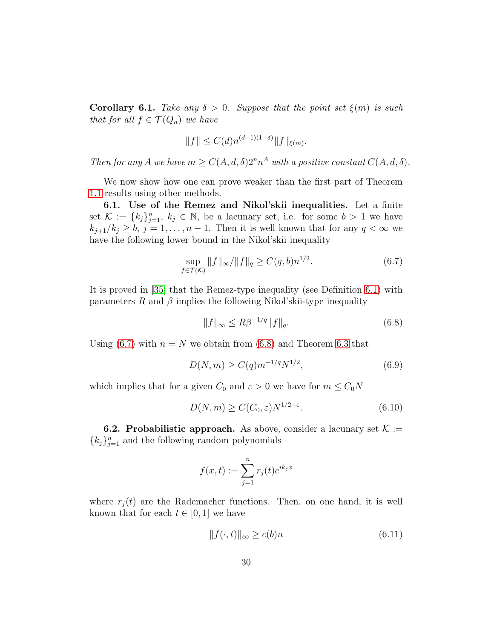**Corollary 6.1.** *Take any*  $\delta > 0$ *. Suppose that the point set*  $\xi(m)$  *is such that for all*  $f \in \mathcal{T}(Q_n)$  *we have* 

$$
||f|| \le C(d)n^{(d-1)(1-\delta)} ||f||_{\xi(m)}.
$$

*Then for any A we have*  $m \geq C(A, d, \delta)2^n n^A$  *with a positive constant*  $C(A, d, \delta)$ *.* 

We now show how one can prove weaker than the first part of Theorem [1.1](#page-2-1) results using other methods.

6.1. Use of the Remez and Nikol'skii inequalities. Let a finite set  $\mathcal{K} := \{k_j\}_{j=1}^n$ ,  $k_j \in \mathbb{N}$ , be a lacunary set, i.e. for some  $b > 1$  we have  $k_{j+1}/k_j \geq b, j = 1, \ldots, n-1$ . Then it is well known that for any  $q < \infty$  we have the following lower bound in the Nikol'skii inequality

<span id="page-29-0"></span>
$$
\sup_{f \in \mathcal{T}(\mathcal{K})} \|f\|_{\infty} / \|f\|_{q} \ge C(q, b) n^{1/2}.
$$
 (6.7)

It is proved in [\[35\]](#page-35-11) that the Remez-type inequality (see Definition [6.1\)](#page-28-3) with parameters R and  $\beta$  implies the following Nikol'skii-type inequality

<span id="page-29-1"></span>
$$
||f||_{\infty} \le R\beta^{-1/q} ||f||_q.
$$
 (6.8)

Using [\(6.7\)](#page-29-0) with  $n = N$  we obtain from [\(6.8\)](#page-29-1) and Theorem [6.3](#page-28-2) that

$$
D(N,m) \ge C(q)m^{-1/q}N^{1/2},\tag{6.9}
$$

which implies that for a given  $C_0$  and  $\varepsilon > 0$  we have for  $m \le C_0 N$ 

$$
D(N,m) \ge C(C_0, \varepsilon) N^{1/2 - \varepsilon}.
$$
\n(6.10)

**6.2. Probabilistic approach.** As above, consider a lacunary set  $K :=$  ${k_j}_{j=1}^n$  and the following random polynomials

$$
f(x,t) := \sum_{j=1}^{n} r_j(t)e^{ik_jx}
$$

where  $r_i(t)$  are the Rademacher functions. Then, on one hand, it is well known that for each  $t \in [0, 1]$  we have

<span id="page-29-2"></span>
$$
||f(\cdot,t)||_{\infty} \ge c(b)n \tag{6.11}
$$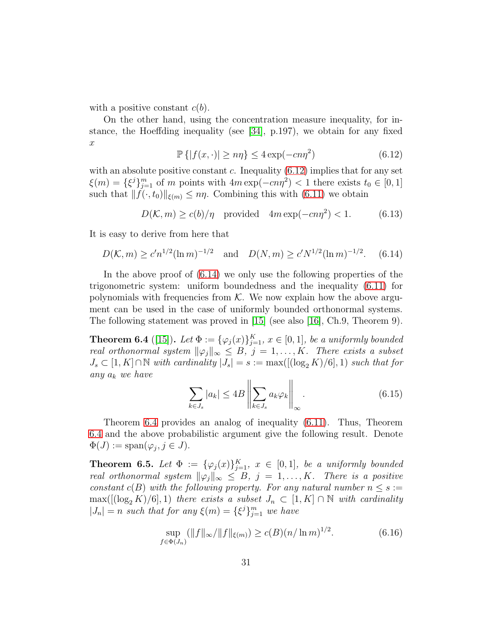with a positive constant  $c(b)$ .

On the other hand, using the concentration measure inequality, for instance, the Hoeffding inequality (see [\[34\]](#page-35-4), p.197), we obtain for any fixed x

<span id="page-30-0"></span>
$$
\mathbb{P}\left\{|f(x,\cdot)| \ge n\eta\right\} \le 4\exp(-cn\eta^2) \tag{6.12}
$$

with an absolute positive constant c. Inequality  $(6.12)$  implies that for any set  $\xi(m) = {\xi^{j}}_{j=1}^{m}$  of m points with  $4m \exp(-cn\eta^{2}) < 1$  there exists  $t_{0} \in [0,1]$ such that  $|| f(\cdot, t_0) ||_{\xi(m)} \leq n\eta$ . Combining this with [\(6.11\)](#page-29-2) we obtain

$$
D(\mathcal{K}, m) \ge c(b)/\eta \quad \text{provided} \quad 4m \exp(-cn\eta^2) < 1. \tag{6.13}
$$

It is easy to derive from here that

<span id="page-30-1"></span>
$$
D(K, m) \ge c'n^{1/2}(\ln m)^{-1/2}
$$
 and  $D(N, m) \ge c'N^{1/2}(\ln m)^{-1/2}$ . (6.14)

In the above proof of [\(6.14\)](#page-30-1) we only use the following properties of the trigonometric system: uniform boundedness and the inequality [\(6.11\)](#page-29-2) for polynomials with frequencies from  $K$ . We now explain how the above argument can be used in the case of uniformly bounded orthonormal systems. The following statement was proved in [\[15\]](#page-33-10) (see also [\[16\]](#page-34-8), Ch.9, Theorem 9).

<span id="page-30-2"></span>**Theorem 6.4** ([\[15\]](#page-33-10)). Let  $\Phi := {\{\varphi_j(x)\}}_{j=1}^K$ ,  $x \in [0,1]$ *, be a uniformly bounded real orthonormal system*  $\|\varphi_j\|_{\infty} \leq B$ ,  $j = 1, ..., K$ . There exists a subset  $J_s \subset [1, K] \cap \mathbb{N}$  with cardinality  $|J_s| = s := \max([(\log_2 K)/6], 1)$  such that for *any* a<sup>k</sup> *we have*

$$
\sum_{k \in J_s} |a_k| \le 4B \left\| \sum_{k \in J_s} a_k \varphi_k \right\|_{\infty}.
$$
\n(6.15)

Theorem [6.4](#page-30-2) provides an analog of inequality [\(6.11\)](#page-29-2). Thus, Theorem [6.4](#page-30-2) and the above probabilistic argument give the following result. Denote  $\Phi(J) := \text{span}(\varphi_j, j \in J).$ 

<span id="page-30-3"></span>**Theorem 6.5.** Let  $\Phi := {\varphi_j(x)}_{j=1}^K$ ,  $x \in [0,1]$ , be a uniformly bounded *real orthonormal system*  $\|\varphi_j\|_{\infty} \leq B$ ,  $j = 1, ..., K$ . There is a positive *constant*  $c(B)$  *with the following property. For any natural number*  $n \leq s :=$  $\max([[log_2 K)/6], 1)$  *there exists a subset*  $J_n \subset [1, K] \cap \mathbb{N}$  *with cardinality*  $|J_n| = n$  such that for any  $\xi(m) = {\xi^{j}}_{j=1}^{m}$  we have

$$
\sup_{f \in \Phi(J_n)} (\|f\|_{\infty}/\|f\|_{\xi(m)}) \ge c(B)(n/\ln m)^{1/2}.
$$
 (6.16)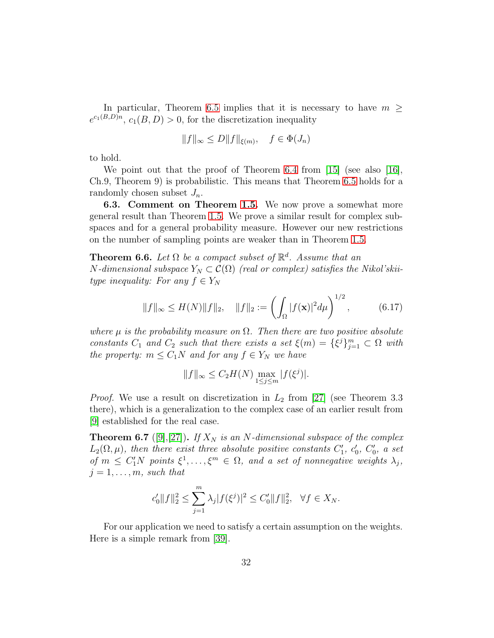In particular, Theorem [6.5](#page-30-3) implies that it is necessary to have  $m \geq$  $e^{c_1(B,D)n}$ ,  $c_1(B,D) > 0$ , for the discretization inequality

$$
||f||_{\infty} \le D||f||_{\xi(m)}, \quad f \in \Phi(J_n)
$$

to hold.

We point out that the proof of Theorem [6.4](#page-30-2) from [\[15\]](#page-33-10) (see also [\[16\]](#page-34-8), Ch.9, Theorem 9) is probabilistic. This means that Theorem [6.5](#page-30-3) holds for a randomly chosen subset  $J_n$ .

6.3. Comment on Theorem [1.5.](#page-4-0) We now prove a somewhat more general result than Theorem [1.5.](#page-4-0) We prove a similar result for complex subspaces and for a general probability measure. However our new restrictions on the number of sampling points are weaker than in Theorem [1.5.](#page-4-0)

**Theorem 6.6.** Let  $\Omega$  be a compact subset of  $\mathbb{R}^d$ . Assume that an  $N$ -dimensional subspace  $Y_N \subset \mathcal{C}(\Omega)$  (real or complex) satisfies the Nikol'skii*type inequality:* For any  $f \in Y_N$ 

$$
||f||_{\infty} \le H(N)||f||_2, \quad ||f||_2 := \left(\int_{\Omega} |f(\mathbf{x})|^2 d\mu\right)^{1/2}, \quad (6.17)
$$

*where*  $\mu$  *is the probability measure on*  $\Omega$ *. Then there are two positive absolute constants*  $C_1$  *and*  $C_2$  *such that there exists a set*  $\xi(m) = {\xi}^j\}_{j=1}^m \subset \Omega$  *with the property:*  $m \leq C_1N$  *and for any*  $f \in Y_N$  *we have* 

$$
||f||_{\infty} \leq C_2 H(N) \max_{1 \leq j \leq m} |f(\xi^j)|.
$$

*Proof.* We use a result on discretization in  $L_2$  from [\[27\]](#page-35-1) (see Theorem 3.3 there), which is a generalization to the complex case of an earlier result from [\[9\]](#page-33-4) established for the real case.

<span id="page-31-0"></span>**Theorem 6.7** ([\[9\]](#page-33-4),[\[27\]](#page-35-1)). *If*  $X_N$  *is an N*-dimensional subspace of the complex  $L_2(\Omega,\mu)$ , then there exist three absolute positive constants  $C'_1$ ,  $c'_0$ ,  $C'_0$ , a set *of*  $m \le C'_1 N$  *points*  $\xi^1, \ldots, \xi^m \in \Omega$ , and a set of nonnegative weights  $\lambda_j$ ,  $j = 1, \ldots, m$ , such that

$$
c'_0\|f\|_2^2 \le \sum_{j=1}^m \lambda_j |f(\xi^j)|^2 \le C'_0\|f\|_2^2, \quad \forall f \in X_N.
$$

For our application we need to satisfy a certain assumption on the weights. Here is a simple remark from [\[39\]](#page-36-2).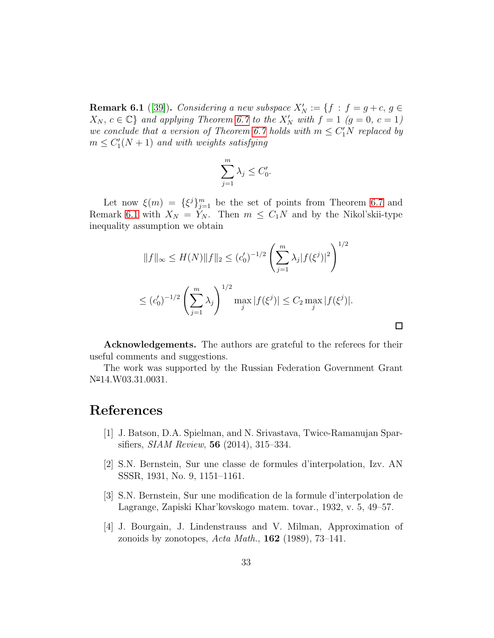<span id="page-32-4"></span>**Remark 6.1** ([\[39\]](#page-36-2)). *Considering a new subspace*  $X'_N := \{f : f = g + c, g \in \mathbb{R}^d\}$  $X_N, c \in \mathbb{C}$  *and applying Theorem [6.7](#page-31-0) to the*  $X'_N$  with  $f = 1$  ( $g = 0, c = 1$ ) *we conclude that a version of Theorem [6.7](#page-31-0) holds with*  $m \le C_1'N$  *replaced by*  $m \leq C_1'(N+1)$  and with weights satisfying

$$
\sum_{j=1}^{m} \lambda_j \le C'_0.
$$

Let now  $\xi(m) = {\xi^{j}}_{j=1}^{m}$  be the set of points from Theorem [6.7](#page-31-0) and Remark [6.1](#page-32-4) with  $X_N = Y_N$ . Then  $m \leq C_1 N$  and by the Nikol'skii-type inequality assumption we obtain

$$
||f||_{\infty} \le H(N)||f||_2 \le (c'_0)^{-1/2} \left(\sum_{j=1}^m \lambda_j |f(\xi^j)|^2\right)^{1/2}
$$
  

$$
\le (c'_0)^{-1/2} \left(\sum_{j=1}^m \lambda_j\right)^{1/2} \max_j |f(\xi^j)| \le C_2 \max_j |f(\xi^j)|.
$$

Acknowledgements. The authors are grateful to the referees for their useful comments and suggestions.

 $\Box$ 

The work was supported by the Russian Federation Government Grant  $N^{\circ}14.$  W03.31.0031.

#### <span id="page-32-3"></span>References

- <span id="page-32-0"></span>[1] J. Batson, D.A. Spielman, and N. Srivastava, Twice-Ramanujan Sparsifiers, *SIAM Review*, 56 (2014), 315–334.
- <span id="page-32-1"></span>[2] S.N. Bernstein, Sur une classe de formules d'interpolation, Izv. AN SSSR, 1931, No. 9, 1151–1161.
- [3] S.N. Bernstein, Sur une modification de la formule d'interpolation de Lagrange, Zapiski Khar'kovskogo matem. tovar., 1932, v. 5, 49–57.
- <span id="page-32-2"></span>[4] J. Bourgain, J. Lindenstrauss and V. Milman, Approximation of zonoids by zonotopes, *Acta Math.*, 162 (1989), 73–141.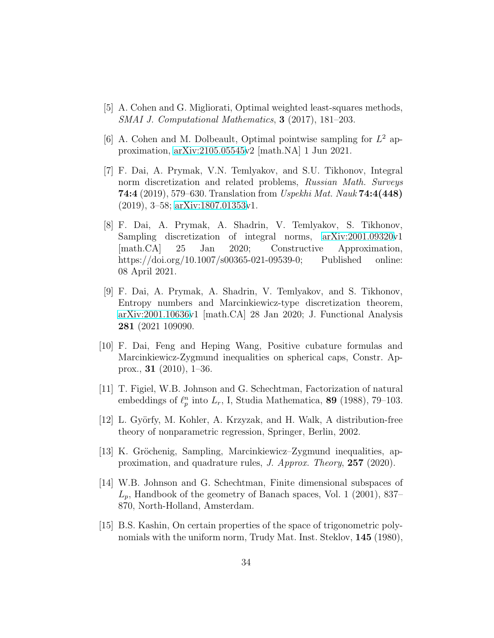- <span id="page-33-8"></span><span id="page-33-7"></span>[5] A. Cohen and G. Migliorati, Optimal weighted least-squares methods, *SMAI J. Computational Mathematics*, 3 (2017), 181–203.
- [6] A. Cohen and M. Dolbeault, Optimal pointwise sampling for  $L^2$  approximation, [arXiv:2105.05545v](http://arxiv.org/abs/2105.05545)2 [math.NA] 1 Jun 2021.
- <span id="page-33-0"></span>[7] F. Dai, A. Prymak, V.N. Temlyakov, and S.U. Tikhonov, Integral norm discretization and related problems, *Russian Math. Surveys* 74:4 (2019), 579–630. Translation from *Uspekhi Mat. Nauk* 74:4(448) (2019), 3–58; [arXiv:1807.01353v](http://arxiv.org/abs/1807.01353)1.
- <span id="page-33-3"></span>[8] F. Dai, A. Prymak, A. Shadrin, V. Temlyakov, S. Tikhonov, Sampling discretization of integral norms, [arXiv:2001.09320v](http://arxiv.org/abs/2001.09320)1 [math.CA] 25 Jan 2020; Constructive Approximation, https://doi.org/10.1007/s00365-021-09539-0; Published online: 08 April 2021.
- <span id="page-33-4"></span>[9] F. Dai, A. Prymak, A. Shadrin, V. Temlyakov, and S. Tikhonov, Entropy numbers and Marcinkiewicz-type discretization theorem, [arXiv:2001.10636v](http://arxiv.org/abs/2001.10636)1 [math.CA] 28 Jan 2020; J. Functional Analysis 281 (2021 109090.
- <span id="page-33-1"></span>[10] F. Dai, Feng and Heping Wang, Positive cubature formulas and Marcinkiewicz-Zygmund inequalities on spherical caps, Constr. Approx., 31 (2010), 1–36.
- <span id="page-33-6"></span>[11] T. Figiel, W.B. Johnson and G. Schechtman, Factorization of natural embeddings of  $\ell_p^n$  into  $L_r$ , I, Studia Mathematica, 89 (1988), 79–103.
- <span id="page-33-9"></span><span id="page-33-2"></span>[12] L. Györfy, M. Kohler, A. Krzyzak, and H. Walk, A distribution-free theory of nonparametric regression, Springer, Berlin, 2002.
- [13] K. Gröchenig, Sampling, Marcinkiewicz–Zygmund inequalities, approximation, and quadrature rules, *J. Approx. Theory*, 257 (2020).
- <span id="page-33-5"></span>[14] W.B. Johnson and G. Schechtman, Finite dimensional subspaces of  $L_p$ , Handbook of the geometry of Banach spaces, Vol. 1 (2001), 837– 870, North-Holland, Amsterdam.
- <span id="page-33-10"></span>[15] B.S. Kashin, On certain properties of the space of trigonometric polynomials with the uniform norm, Trudy Mat. Inst. Steklov, 145 (1980),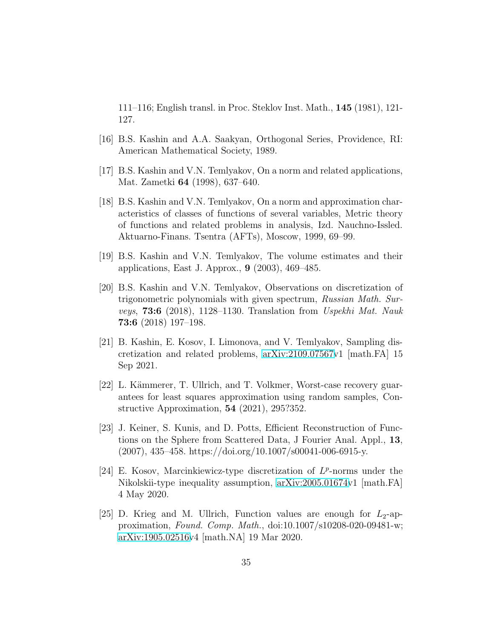111–116; English transl. in Proc. Steklov Inst. Math., 145 (1981), 121- 127.

- <span id="page-34-8"></span><span id="page-34-6"></span>[16] B.S. Kashin and A.A. Saakyan, Orthogonal Series, Providence, RI: American Mathematical Society, 1989.
- [17] B.S. Kashin and V.N. Temlyakov, On a norm and related applications, Mat. Zametki 64 (1998), 637–640.
- [18] B.S. Kashin and V.N. Temlyakov, On a norm and approximation characteristics of classes of functions of several variables, Metric theory of functions and related problems in analysis, Izd. Nauchno-Issled. Aktuarno-Finans. Tsentra (AFTs), Moscow, 1999, 69–99.
- <span id="page-34-7"></span>[19] B.S. Kashin and V.N. Temlyakov, The volume estimates and their applications, East J. Approx., 9 (2003), 469–485.
- <span id="page-34-2"></span>[20] B.S. Kashin and V.N. Temlyakov, Observations on discretization of trigonometric polynomials with given spectrum, *Russian Math. Surveys*, 73:6 (2018), 1128–1130. Translation from *Uspekhi Mat. Nauk* 73:6 (2018) 197–198.
- <span id="page-34-0"></span>[21] B. Kashin, E. Kosov, I. Limonova, and V. Temlyakov, Sampling discretization and related problems, [arXiv:2109.07567v](http://arxiv.org/abs/2109.07567)1 [math.FA] 15 Sep 2021.
- <span id="page-34-5"></span>[22] L. Kämmerer, T. Ullrich, and T. Volkmer, Worst-case recovery guarantees for least squares approximation using random samples, Constructive Approximation, 54 (2021), 295?352.
- <span id="page-34-4"></span>[23] J. Keiner, S. Kunis, and D. Potts, Efficient Reconstruction of Functions on the Sphere from Scattered Data, J Fourier Anal. Appl., 13,  $(2007), 435-458.$  https://doi.org/10.1007/s00041-006-6915-y.
- <span id="page-34-1"></span>[24] E. Kosov, Marcinkiewicz-type discretization of  $L^p$ -norms under the Nikolskii-type inequality assumption, [arXiv:2005.01674v](http://arxiv.org/abs/2005.01674)1 [math.FA] 4 May 2020.
- <span id="page-34-3"></span>[25] D. Krieg and M. Ullrich, Function values are enough for  $L_2$ -approximation, *Found. Comp. Math.*, doi:10.1007/s10208-020-09481-w; [arXiv:1905.02516v](http://arxiv.org/abs/1905.02516)4 [math.NA] 19 Mar 2020.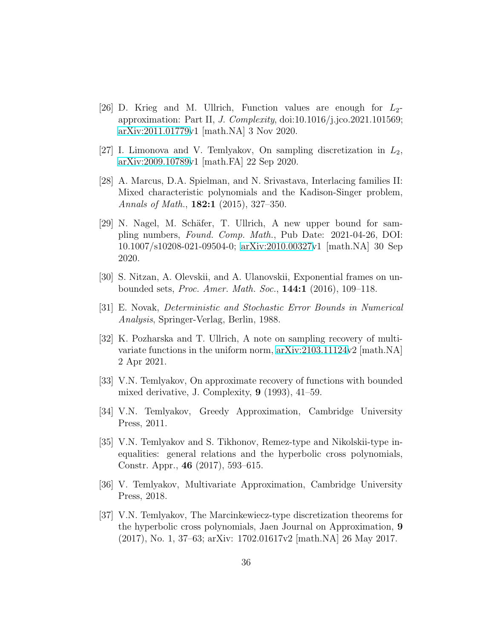- <span id="page-35-6"></span>[26] D. Krieg and M. Ullrich, Function values are enough for  $L_2$ approximation: Part II, *J. Complexity*, doi:10.1016/j.jco.2021.101569; [arXiv:2011.01779v](http://arxiv.org/abs/2011.01779)1 [math.NA] 3 Nov 2020.
- <span id="page-35-8"></span><span id="page-35-1"></span>[27] I. Limonova and V. Temlyakov, On sampling discretization in  $L_2$ , [arXiv:2009.10789v](http://arxiv.org/abs/2009.10789)1 [math.FA] 22 Sep 2020.
- [28] A. Marcus, D.A. Spielman, and N. Srivastava, Interlacing families II: Mixed characteristic polynomials and the Kadison-Singer problem, *Annals of Math.*, 182:1 (2015), 327–350.
- <span id="page-35-7"></span>[29] N. Nagel, M. Schäfer, T. Ullrich, A new upper bound for sampling numbers, *Found. Comp. Math.*, Pub Date: 2021-04-26, DOI: 10.1007/s10208-021-09504-0; [arXiv:2010.00327v](http://arxiv.org/abs/2010.00327)1 [math.NA] 30 Sep 2020.
- <span id="page-35-9"></span><span id="page-35-3"></span>[30] S. Nitzan, A. Olevskii, and A. Ulanovskii, Exponential frames on unbounded sets, *Proc. Amer. Math. Soc.*, 144:1 (2016), 109–118.
- <span id="page-35-5"></span>[31] E. Novak, *Deterministic and Stochastic Error Bounds in Numerical Analysis*, Springer-Verlag, Berlin, 1988.
- [32] K. Pozharska and T. Ullrich, A note on sampling recovery of multivariate functions in the uniform norm, [arXiv:2103.11124v](http://arxiv.org/abs/2103.11124)2 [math.NA] 2 Apr 2021.
- <span id="page-35-10"></span>[33] V.N. Temlyakov, On approximate recovery of functions with bounded mixed derivative, J. Complexity, 9 (1993), 41–59.
- <span id="page-35-11"></span><span id="page-35-4"></span>[34] V.N. Temlyakov, Greedy Approximation, Cambridge University Press, 2011.
- [35] V.N. Temlyakov and S. Tikhonov, Remez-type and Nikolskii-type inequalities: general relations and the hyperbolic cross polynomials, Constr. Appr., 46 (2017), 593–615.
- <span id="page-35-2"></span><span id="page-35-0"></span>[36] V. Temlyakov, Multivariate Approximation, Cambridge University Press, 2018.
- [37] V.N. Temlyakov, The Marcinkewiecz-type discretization theorems for the hyperbolic cross polynomials, Jaen Journal on Approximation, 9 (2017), No. 1, 37–63; arXiv: 1702.01617v2 [math.NA] 26 May 2017.